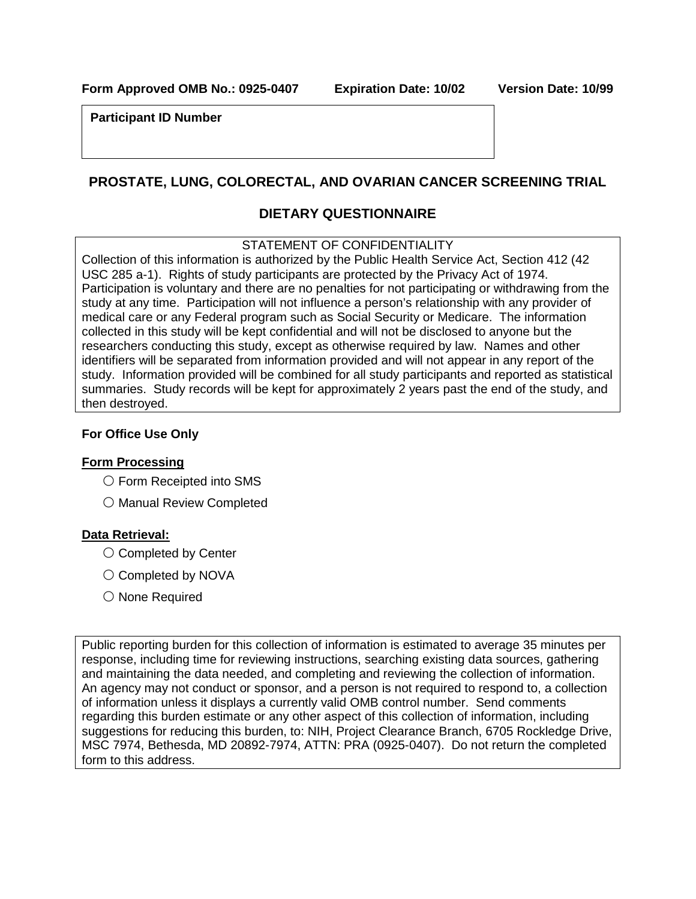**Form Approved OMB No.: 0925-0407 Expiration Date: 10/02 Version Date: 10/99**

**Participant ID Number**

# **PROSTATE, LUNG, COLORECTAL, AND OVARIAN CANCER SCREENING TRIAL**

### **DIETARY QUESTIONNAIRE**

### STATEMENT OF CONFIDENTIALITY

Collection of this information is authorized by the Public Health Service Act, Section 412 (42 USC 285 a-1). Rights of study participants are protected by the Privacy Act of 1974. Participation is voluntary and there are no penalties for not participating or withdrawing from the study at any time. Participation will not influence a person's relationship with any provider of medical care or any Federal program such as Social Security or Medicare. The information collected in this study will be kept confidential and will not be disclosed to anyone but the researchers conducting this study, except as otherwise required by law. Names and other identifiers will be separated from information provided and will not appear in any report of the study. Information provided will be combined for all study participants and reported as statistical summaries. Study records will be kept for approximately 2 years past the end of the study, and then destroyed.

### **For Office Use Only**

#### **Form Processing**

- 〇 Form Receipted into SMS
- 〇 Manual Review Completed

### **Data Retrieval:**

- 〇 Completed by Center
- 〇 Completed by NOVA
- 〇 None Required

Public reporting burden for this collection of information is estimated to average 35 minutes per response, including time for reviewing instructions, searching existing data sources, gathering and maintaining the data needed, and completing and reviewing the collection of information. An agency may not conduct or sponsor, and a person is not required to respond to, a collection of information unless it displays a currently valid OMB control number. Send comments regarding this burden estimate or any other aspect of this collection of information, including suggestions for reducing this burden, to: NIH, Project Clearance Branch, 6705 Rockledge Drive, MSC 7974, Bethesda, MD 20892-7974, ATTN: PRA (0925-0407). Do not return the completed form to this address.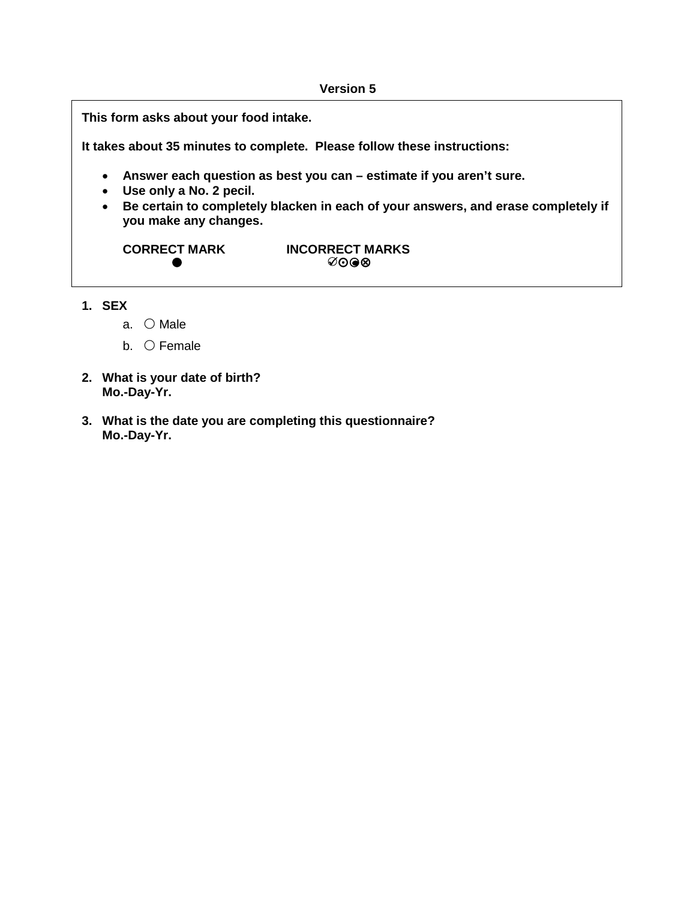#### **Version 5**

**This form asks about your food intake.**

**It takes about 35 minutes to complete. Please follow these instructions:**

- **Answer each question as best you can estimate if you aren't sure.**
- **Use only a No. 2 pecil.**
- **Be certain to completely blacken in each of your answers, and erase completely if you make any changes.**

**CORRECT MARK INCORRECT MARKS**  $\bullet$   $\bullet$   $\bullet$   $\bullet$   $\bullet$   $\bullet$   $\bullet$ 

- **1. SEX**
	- a. 〇 Male
	- b. 〇 Female
- **2. What is your date of birth? Mo.-Day-Yr.**
- **3. What is the date you are completing this questionnaire? Mo.-Day-Yr.**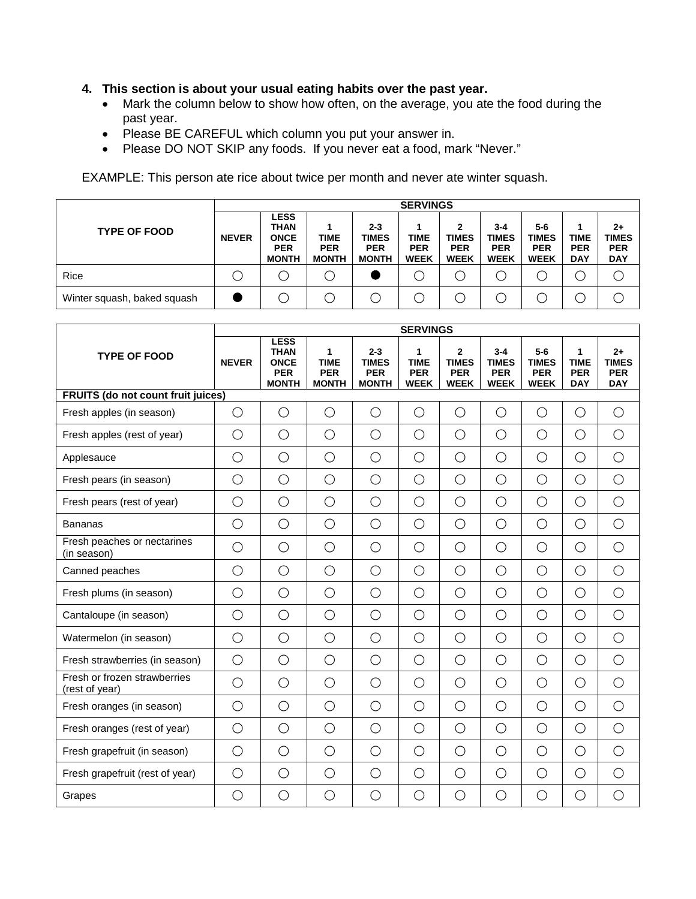- **4. This section is about your usual eating habits over the past year.**
	- Mark the column below to show how often, on the average, you ate the food during the past year.
	- Please BE CAREFUL which column you put your answer in.
	- Please DO NOT SKIP any foods. If you never eat a food, mark "Never."

EXAMPLE: This person ate rice about twice per month and never ate winter squash.

|                             |              |                                                                         |                                    |                                                       | <b>SERVINGS</b>                          |                                                |                                                      |                                                  |                                         |                                                  |
|-----------------------------|--------------|-------------------------------------------------------------------------|------------------------------------|-------------------------------------------------------|------------------------------------------|------------------------------------------------|------------------------------------------------------|--------------------------------------------------|-----------------------------------------|--------------------------------------------------|
| <b>TYPE OF FOOD</b>         | <b>NEVER</b> | <b>LESS</b><br><b>THAN</b><br><b>ONCE</b><br><b>PER</b><br><b>MONTH</b> | TIME<br><b>PER</b><br><b>MONTH</b> | $2 - 3$<br><b>TIMES</b><br><b>PER</b><br><b>MONTH</b> | <b>TIME</b><br><b>PER</b><br><b>WEEK</b> | 2<br><b>TIMES</b><br><b>PER</b><br><b>WEEK</b> | $3 - 4$<br><b>TIMES</b><br><b>PER</b><br><b>WEEK</b> | 5-6<br><b>TIMES</b><br><b>PER</b><br><b>WEEK</b> | <b>TIME</b><br><b>PER</b><br><b>DAY</b> | $2+$<br><b>TIMES</b><br><b>PER</b><br><b>DAY</b> |
| Rice                        |              |                                                                         |                                    |                                                       |                                          |                                                |                                                      |                                                  |                                         |                                                  |
| Winter squash, baked squash |              |                                                                         |                                    |                                                       |                                          |                                                |                                                      |                                                  |                                         |                                                  |

|                                                | <b>SERVINGS</b><br><b>LESS</b><br><b>THAN</b><br>1<br>$2 - 3$<br>$\mathbf{2}$<br>$3 - 4$<br>5-6<br>1<br>1<br><b>NEVER</b><br><b>TIME</b><br><b>TIME</b><br><b>TIMES</b><br><b>TIMES</b><br><b>TIME</b><br><b>ONCE</b><br><b>TIMES</b><br><b>TIMES</b><br><b>PER</b><br><b>PER</b><br><b>PER</b><br><b>PER</b><br><b>PER</b><br><b>PER</b><br><b>PER</b><br><b>PER</b><br><b>MONTH</b><br><b>MONTH</b><br><b>MONTH</b><br><b>WEEK</b><br><b>WEEK</b><br><b>WEEK</b><br><b>WEEK</b><br><b>DAY</b><br>$\bigcirc$<br>$\bigcirc$<br>$\bigcirc$<br>$\bigcirc$<br>$\bigcirc$<br>$\bigcirc$<br>$\bigcirc$<br>$\bigcirc$<br>$\bigcirc$<br>$\bigcirc$<br>$\bigcirc$<br>$\bigcirc$<br>$\bigcirc$<br>$\bigcirc$<br>$\bigcirc$<br>$\bigcirc$<br>$\bigcirc$<br>$\bigcirc$<br>$\bigcirc$<br>$\bigcirc$<br>$\bigcirc$<br>$\bigcirc$<br>$\bigcirc$<br>$\bigcirc$<br>$\bigcirc$<br>$\bigcirc$<br>$\bigcirc$<br>$\bigcirc$<br>$\bigcirc$<br>$\bigcirc$<br>$\bigcirc$<br>$\bigcirc$<br>$\bigcirc$<br>$\bigcirc$<br>$\bigcirc$<br>$\bigcirc$<br>$\bigcirc$<br>$\bigcirc$<br>$\bigcirc$<br>$\bigcirc$<br>$\bigcirc$<br>$\bigcirc$<br>$\bigcirc$<br>$\bigcirc$<br>$\bigcirc$<br>$\bigcirc$<br>$\bigcirc$<br>$\bigcirc$<br>$\bigcirc$<br>$\bigcirc$<br>$\bigcirc$<br>$\bigcirc$<br>$\bigcirc$<br>$\bigcirc$<br>$\bigcirc$<br>$\bigcirc$<br>$\bigcirc$<br>$\bigcirc$<br>$\bigcirc$<br>$\bigcirc$<br>$\bigcirc$<br>$\bigcirc$<br>$\bigcirc$<br>$\bigcirc$<br>$\bigcirc$<br>$\bigcirc$<br>$\bigcirc$<br>$\bigcirc$<br>$\bigcirc$<br>$\bigcirc$<br>$\bigcirc$<br>$\bigcirc$<br>$\bigcirc$<br>$\bigcirc$<br>$\bigcirc$<br>$\bigcirc$<br>$\bigcirc$<br>$\bigcirc$<br>$\bigcirc$<br>$\bigcirc$<br>$\bigcirc$<br>$\bigcirc$<br>$\bigcirc$<br>$\bigcirc$<br>$\bigcirc$<br>$\bigcirc$<br>$\bigcirc$<br>$\bigcirc$<br>$\bigcirc$<br>$\bigcirc$ |            |            |            |            |            |            |            |            |                                                  |  |  |
|------------------------------------------------|-------------------------------------------------------------------------------------------------------------------------------------------------------------------------------------------------------------------------------------------------------------------------------------------------------------------------------------------------------------------------------------------------------------------------------------------------------------------------------------------------------------------------------------------------------------------------------------------------------------------------------------------------------------------------------------------------------------------------------------------------------------------------------------------------------------------------------------------------------------------------------------------------------------------------------------------------------------------------------------------------------------------------------------------------------------------------------------------------------------------------------------------------------------------------------------------------------------------------------------------------------------------------------------------------------------------------------------------------------------------------------------------------------------------------------------------------------------------------------------------------------------------------------------------------------------------------------------------------------------------------------------------------------------------------------------------------------------------------------------------------------------------------------------------------------------|------------|------------|------------|------------|------------|------------|------------|------------|--------------------------------------------------|--|--|
| <b>TYPE OF FOOD</b>                            |                                                                                                                                                                                                                                                                                                                                                                                                                                                                                                                                                                                                                                                                                                                                                                                                                                                                                                                                                                                                                                                                                                                                                                                                                                                                                                                                                                                                                                                                                                                                                                                                                                                                                                                                                                                                             |            |            |            |            |            |            |            |            | $2+$<br><b>TIMES</b><br><b>PER</b><br><b>DAY</b> |  |  |
| FRUITS (do not count fruit juices)             |                                                                                                                                                                                                                                                                                                                                                                                                                                                                                                                                                                                                                                                                                                                                                                                                                                                                                                                                                                                                                                                                                                                                                                                                                                                                                                                                                                                                                                                                                                                                                                                                                                                                                                                                                                                                             |            |            |            |            |            |            |            |            |                                                  |  |  |
| Fresh apples (in season)                       |                                                                                                                                                                                                                                                                                                                                                                                                                                                                                                                                                                                                                                                                                                                                                                                                                                                                                                                                                                                                                                                                                                                                                                                                                                                                                                                                                                                                                                                                                                                                                                                                                                                                                                                                                                                                             |            |            |            |            |            |            |            |            | $\bigcirc$                                       |  |  |
| Fresh apples (rest of year)                    |                                                                                                                                                                                                                                                                                                                                                                                                                                                                                                                                                                                                                                                                                                                                                                                                                                                                                                                                                                                                                                                                                                                                                                                                                                                                                                                                                                                                                                                                                                                                                                                                                                                                                                                                                                                                             |            |            |            |            |            |            |            |            | $\bigcirc$                                       |  |  |
| Applesauce                                     |                                                                                                                                                                                                                                                                                                                                                                                                                                                                                                                                                                                                                                                                                                                                                                                                                                                                                                                                                                                                                                                                                                                                                                                                                                                                                                                                                                                                                                                                                                                                                                                                                                                                                                                                                                                                             |            |            |            |            |            |            |            |            | $\bigcirc$                                       |  |  |
| Fresh pears (in season)                        |                                                                                                                                                                                                                                                                                                                                                                                                                                                                                                                                                                                                                                                                                                                                                                                                                                                                                                                                                                                                                                                                                                                                                                                                                                                                                                                                                                                                                                                                                                                                                                                                                                                                                                                                                                                                             |            |            |            |            |            |            |            |            | $\bigcirc$                                       |  |  |
| Fresh pears (rest of year)                     |                                                                                                                                                                                                                                                                                                                                                                                                                                                                                                                                                                                                                                                                                                                                                                                                                                                                                                                                                                                                                                                                                                                                                                                                                                                                                                                                                                                                                                                                                                                                                                                                                                                                                                                                                                                                             |            |            |            |            |            |            |            |            | $\bigcirc$                                       |  |  |
| <b>Bananas</b>                                 |                                                                                                                                                                                                                                                                                                                                                                                                                                                                                                                                                                                                                                                                                                                                                                                                                                                                                                                                                                                                                                                                                                                                                                                                                                                                                                                                                                                                                                                                                                                                                                                                                                                                                                                                                                                                             |            |            |            |            |            |            |            |            | $\bigcirc$                                       |  |  |
| Fresh peaches or nectarines<br>(in season)     |                                                                                                                                                                                                                                                                                                                                                                                                                                                                                                                                                                                                                                                                                                                                                                                                                                                                                                                                                                                                                                                                                                                                                                                                                                                                                                                                                                                                                                                                                                                                                                                                                                                                                                                                                                                                             |            |            |            |            |            |            |            |            | $\bigcirc$                                       |  |  |
| Canned peaches                                 |                                                                                                                                                                                                                                                                                                                                                                                                                                                                                                                                                                                                                                                                                                                                                                                                                                                                                                                                                                                                                                                                                                                                                                                                                                                                                                                                                                                                                                                                                                                                                                                                                                                                                                                                                                                                             |            |            |            |            |            |            |            |            | $\bigcirc$                                       |  |  |
| Fresh plums (in season)                        |                                                                                                                                                                                                                                                                                                                                                                                                                                                                                                                                                                                                                                                                                                                                                                                                                                                                                                                                                                                                                                                                                                                                                                                                                                                                                                                                                                                                                                                                                                                                                                                                                                                                                                                                                                                                             |            |            |            |            |            |            |            |            | $\bigcirc$                                       |  |  |
| Cantaloupe (in season)                         |                                                                                                                                                                                                                                                                                                                                                                                                                                                                                                                                                                                                                                                                                                                                                                                                                                                                                                                                                                                                                                                                                                                                                                                                                                                                                                                                                                                                                                                                                                                                                                                                                                                                                                                                                                                                             |            |            |            |            |            |            |            |            | $\bigcirc$                                       |  |  |
| Watermelon (in season)                         | $\bigcirc$                                                                                                                                                                                                                                                                                                                                                                                                                                                                                                                                                                                                                                                                                                                                                                                                                                                                                                                                                                                                                                                                                                                                                                                                                                                                                                                                                                                                                                                                                                                                                                                                                                                                                                                                                                                                  | $\bigcirc$ | $\bigcirc$ | $\bigcirc$ | $\bigcirc$ | $\bigcirc$ | $\bigcirc$ | $\bigcirc$ | $\bigcirc$ | $\bigcirc$                                       |  |  |
| Fresh strawberries (in season)                 | $\bigcirc$                                                                                                                                                                                                                                                                                                                                                                                                                                                                                                                                                                                                                                                                                                                                                                                                                                                                                                                                                                                                                                                                                                                                                                                                                                                                                                                                                                                                                                                                                                                                                                                                                                                                                                                                                                                                  | $\bigcirc$ | $\bigcirc$ | $\bigcirc$ | $\bigcirc$ | $\bigcirc$ | $\bigcirc$ | $\bigcirc$ | $\bigcirc$ | $\bigcirc$                                       |  |  |
| Fresh or frozen strawberries<br>(rest of year) | $\bigcirc$                                                                                                                                                                                                                                                                                                                                                                                                                                                                                                                                                                                                                                                                                                                                                                                                                                                                                                                                                                                                                                                                                                                                                                                                                                                                                                                                                                                                                                                                                                                                                                                                                                                                                                                                                                                                  | $\bigcirc$ | $\bigcirc$ | $\bigcirc$ | $\bigcirc$ | $\bigcirc$ | $\bigcirc$ | $\bigcirc$ | $\bigcirc$ | $\bigcirc$                                       |  |  |
| Fresh oranges (in season)                      | $\bigcirc$                                                                                                                                                                                                                                                                                                                                                                                                                                                                                                                                                                                                                                                                                                                                                                                                                                                                                                                                                                                                                                                                                                                                                                                                                                                                                                                                                                                                                                                                                                                                                                                                                                                                                                                                                                                                  | $\bigcirc$ | $\bigcirc$ | $\bigcirc$ | $\bigcirc$ | $\bigcirc$ | $\bigcirc$ | $\bigcirc$ | $\bigcirc$ | $\bigcirc$                                       |  |  |
| Fresh oranges (rest of year)                   | $\bigcirc$                                                                                                                                                                                                                                                                                                                                                                                                                                                                                                                                                                                                                                                                                                                                                                                                                                                                                                                                                                                                                                                                                                                                                                                                                                                                                                                                                                                                                                                                                                                                                                                                                                                                                                                                                                                                  | $\bigcirc$ | $\bigcirc$ | $\bigcirc$ | $\bigcirc$ | $\bigcirc$ | $\bigcirc$ | $\bigcirc$ | $\bigcirc$ | $\bigcirc$                                       |  |  |
| Fresh grapefruit (in season)                   | $\bigcirc$                                                                                                                                                                                                                                                                                                                                                                                                                                                                                                                                                                                                                                                                                                                                                                                                                                                                                                                                                                                                                                                                                                                                                                                                                                                                                                                                                                                                                                                                                                                                                                                                                                                                                                                                                                                                  | $\bigcirc$ | $\bigcirc$ | $\bigcirc$ | $\bigcirc$ | $\bigcirc$ | $\bigcirc$ | $\bigcirc$ | $\bigcirc$ | $\bigcirc$                                       |  |  |
| Fresh grapefruit (rest of year)                | $\bigcirc$                                                                                                                                                                                                                                                                                                                                                                                                                                                                                                                                                                                                                                                                                                                                                                                                                                                                                                                                                                                                                                                                                                                                                                                                                                                                                                                                                                                                                                                                                                                                                                                                                                                                                                                                                                                                  | $\bigcirc$ | $\bigcirc$ | $\bigcirc$ | $\bigcirc$ | $\bigcirc$ | $\bigcirc$ | $\bigcirc$ | $\bigcirc$ | $\bigcirc$                                       |  |  |
| Grapes                                         | O                                                                                                                                                                                                                                                                                                                                                                                                                                                                                                                                                                                                                                                                                                                                                                                                                                                                                                                                                                                                                                                                                                                                                                                                                                                                                                                                                                                                                                                                                                                                                                                                                                                                                                                                                                                                           | $\bigcirc$ | $\bigcirc$ | O          | O          | $\bigcirc$ | О          | $\bigcirc$ | O          | $\bigcirc$                                       |  |  |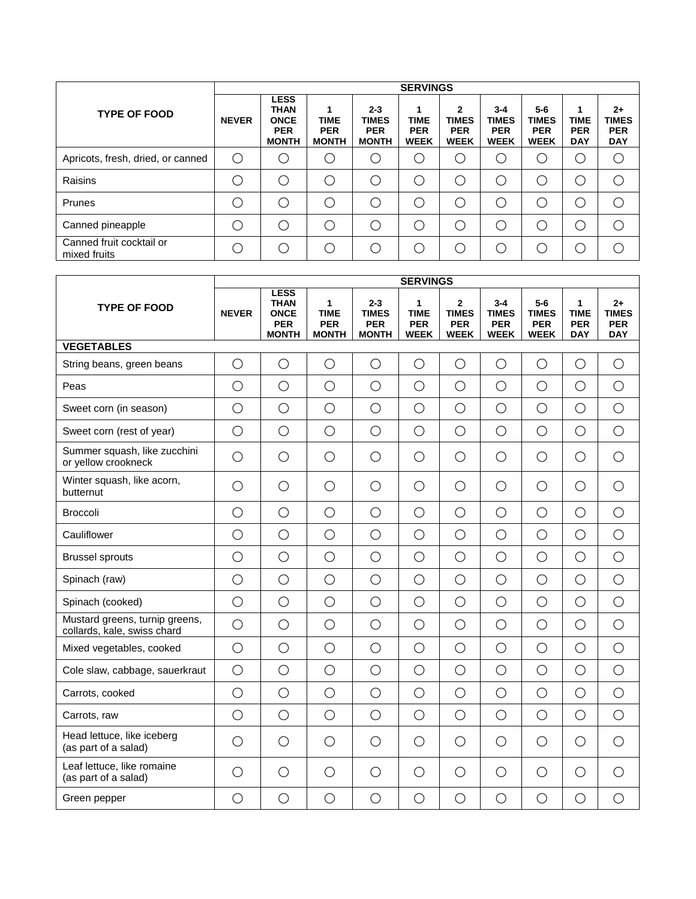|                                          |              |                                                                         |                                                |                                                       | <b>SERVINGS</b>                          |                                                |                                                      |                                                  |                                              |                                                  |
|------------------------------------------|--------------|-------------------------------------------------------------------------|------------------------------------------------|-------------------------------------------------------|------------------------------------------|------------------------------------------------|------------------------------------------------------|--------------------------------------------------|----------------------------------------------|--------------------------------------------------|
| <b>TYPE OF FOOD</b>                      | <b>NEVER</b> | <b>LESS</b><br><b>THAN</b><br><b>ONCE</b><br><b>PER</b><br><b>MONTH</b> | 1<br><b>TIME</b><br><b>PER</b><br><b>MONTH</b> | $2 - 3$<br><b>TIMES</b><br><b>PER</b><br><b>MONTH</b> | <b>TIME</b><br><b>PER</b><br><b>WEEK</b> | 2<br><b>TIMES</b><br><b>PER</b><br><b>WEEK</b> | $3 - 4$<br><b>TIMES</b><br><b>PER</b><br><b>WEEK</b> | 5-6<br><b>TIMES</b><br><b>PER</b><br><b>WEEK</b> | 1<br><b>TIME</b><br><b>PER</b><br><b>DAY</b> | $2+$<br><b>TIMES</b><br><b>PER</b><br><b>DAY</b> |
| Apricots, fresh, dried, or canned        | ∩            |                                                                         |                                                |                                                       | С.                                       |                                                |                                                      | .)                                               |                                              | ◯                                                |
| Raisins                                  |              |                                                                         |                                                | $\left( \begin{array}{c} \cdot \end{array} \right)$   | ◯                                        | ∩                                              | - 1                                                  | Ο                                                |                                              |                                                  |
| Prunes                                   |              |                                                                         |                                                |                                                       | ◯                                        | ∩                                              |                                                      | ⋂                                                |                                              |                                                  |
| Canned pineapple                         |              |                                                                         |                                                |                                                       | ◯                                        | ◯                                              | - 1                                                  | ∩                                                |                                              |                                                  |
| Canned fruit cocktail or<br>mixed fruits |              |                                                                         |                                                |                                                       | ◯                                        | $\bigcirc$                                     |                                                      | ∩                                                |                                              |                                                  |

|                                                               |              |                                                                         |                                                           |                                                       | <b>SERVINGS</b>                               |                                                             |                                                      |                                                    |                                              |                                                  |
|---------------------------------------------------------------|--------------|-------------------------------------------------------------------------|-----------------------------------------------------------|-------------------------------------------------------|-----------------------------------------------|-------------------------------------------------------------|------------------------------------------------------|----------------------------------------------------|----------------------------------------------|--------------------------------------------------|
| <b>TYPE OF FOOD</b>                                           | <b>NEVER</b> | <b>LESS</b><br><b>THAN</b><br><b>ONCE</b><br><b>PER</b><br><b>MONTH</b> | $\mathbf{1}$<br><b>TIME</b><br><b>PER</b><br><b>MONTH</b> | $2 - 3$<br><b>TIMES</b><br><b>PER</b><br><b>MONTH</b> | 1<br><b>TIME</b><br><b>PER</b><br><b>WEEK</b> | $\overline{2}$<br><b>TIMES</b><br><b>PER</b><br><b>WEEK</b> | $3 - 4$<br><b>TIMES</b><br><b>PER</b><br><b>WEEK</b> | $5-6$<br><b>TIMES</b><br><b>PER</b><br><b>WEEK</b> | 1<br><b>TIME</b><br><b>PER</b><br><b>DAY</b> | $2+$<br><b>TIMES</b><br><b>PER</b><br><b>DAY</b> |
| <b>VEGETABLES</b>                                             |              |                                                                         |                                                           |                                                       |                                               |                                                             |                                                      |                                                    |                                              |                                                  |
| String beans, green beans                                     | $\bigcirc$   | $\bigcirc$                                                              | $\bigcirc$                                                | $\bigcirc$                                            | $\bigcirc$                                    | $\bigcirc$                                                  | $\bigcirc$                                           | $\bigcirc$                                         | $\bigcirc$                                   | $\bigcirc$                                       |
| Peas                                                          | $\bigcirc$   | $\bigcirc$                                                              | $\bigcirc$                                                | $\bigcirc$                                            | $\bigcirc$                                    | $\bigcirc$                                                  | $\bigcirc$                                           | $\bigcirc$                                         | $\bigcirc$                                   | $\bigcirc$                                       |
| Sweet corn (in season)                                        | $\bigcirc$   | $\bigcirc$                                                              | $\bigcirc$                                                | $\bigcirc$                                            | $\bigcirc$                                    | $\bigcirc$                                                  | $\bigcirc$                                           | $\bigcirc$                                         | $\bigcirc$                                   | $\bigcirc$                                       |
| Sweet corn (rest of year)                                     | $\bigcirc$   | $\bigcirc$                                                              | $\bigcirc$                                                | $\bigcirc$                                            | $\bigcirc$                                    | $\bigcirc$                                                  | $\bigcirc$                                           | $\bigcirc$                                         | $\bigcirc$                                   | $\bigcirc$                                       |
| Summer squash, like zucchini<br>or yellow crookneck           | $\bigcirc$   | $\bigcirc$                                                              | $\bigcirc$                                                | $\bigcirc$                                            | $\bigcirc$                                    | $\bigcirc$                                                  | $\bigcirc$                                           | $\bigcirc$                                         | $\bigcirc$                                   | $\bigcirc$                                       |
| Winter squash, like acorn,<br>butternut                       | $\bigcirc$   | $\bigcirc$                                                              | $\bigcirc$                                                | O                                                     | $\bigcirc$                                    | $\bigcirc$                                                  | $\bigcirc$                                           | $\bigcirc$                                         | $\bigcirc$                                   | $\bigcirc$                                       |
| <b>Broccoli</b>                                               | $\bigcirc$   | $\bigcirc$                                                              | $\bigcirc$                                                | $\bigcirc$                                            | $\bigcirc$                                    | $\bigcirc$                                                  | $\bigcirc$                                           | $\bigcirc$                                         | $\bigcirc$                                   | $\bigcirc$                                       |
| Cauliflower                                                   | $\bigcirc$   | $\bigcirc$                                                              | $\bigcirc$                                                | $\bigcirc$                                            | $\bigcirc$                                    | $\bigcirc$                                                  | $\bigcirc$                                           | $\bigcirc$                                         | $\bigcirc$                                   | $\bigcirc$                                       |
| <b>Brussel sprouts</b>                                        | $\bigcirc$   | $\bigcirc$                                                              | $\bigcirc$                                                | $\bigcirc$                                            | $\bigcirc$                                    | $\bigcirc$                                                  | $\bigcirc$                                           | $\bigcirc$                                         | $\bigcirc$                                   | $\bigcirc$                                       |
| Spinach (raw)                                                 | $\bigcirc$   | $\bigcirc$                                                              | $\bigcirc$                                                | $\bigcirc$                                            | $\bigcirc$                                    | $\bigcirc$                                                  | $\bigcirc$                                           | $\bigcirc$                                         | $\bigcirc$                                   | $\bigcirc$                                       |
| Spinach (cooked)                                              | $\bigcirc$   | $\bigcirc$                                                              | $\bigcirc$                                                | $\bigcirc$                                            | $\bigcirc$                                    | $\bigcirc$                                                  | $\bigcirc$                                           | $\bigcirc$                                         | $\bigcirc$                                   | $\bigcirc$                                       |
| Mustard greens, turnip greens,<br>collards, kale, swiss chard | $\bigcirc$   | $\bigcirc$                                                              | $\bigcirc$                                                | $\bigcirc$                                            | $\bigcirc$                                    | $\bigcirc$                                                  | $\bigcirc$                                           | $\bigcirc$                                         | $\bigcirc$                                   | $\bigcirc$                                       |
| Mixed vegetables, cooked                                      | $\bigcirc$   | $\bigcirc$                                                              | $\bigcirc$                                                | $\bigcirc$                                            | $\bigcirc$                                    | $\bigcirc$                                                  | $\bigcirc$                                           | $\bigcirc$                                         | $\bigcirc$                                   | $\bigcirc$                                       |
| Cole slaw, cabbage, sauerkraut                                | $\bigcirc$   | $\bigcirc$                                                              | $\bigcirc$                                                | $\bigcirc$                                            | $\bigcirc$                                    | $\bigcirc$                                                  | $\bigcirc$                                           | $\bigcirc$                                         | $\bigcirc$                                   | $\bigcirc$                                       |
| Carrots, cooked                                               | $\bigcirc$   | $\bigcirc$                                                              | $\bigcirc$                                                | $\bigcirc$                                            | $\bigcirc$                                    | $\bigcirc$                                                  | $\bigcirc$                                           | $\bigcirc$                                         | $\bigcirc$                                   | $\bigcirc$                                       |
| Carrots, raw                                                  | $\bigcirc$   | $\bigcirc$                                                              | $\bigcirc$                                                | $\bigcirc$                                            | $\bigcirc$                                    | $\bigcirc$                                                  | $\bigcirc$                                           | $\bigcirc$                                         | $\bigcirc$                                   | $\bigcirc$                                       |
| Head lettuce, like iceberg<br>(as part of a salad)            | $\bigcirc$   | $\bigcirc$                                                              | $\bigcirc$                                                | $\bigcirc$                                            | $\bigcirc$                                    | $\bigcirc$                                                  | $\bigcirc$                                           | $\bigcirc$                                         | $\bigcirc$                                   | $\bigcirc$                                       |
| Leaf lettuce, like romaine<br>(as part of a salad)            | О            | $\bigcirc$                                                              | $\bigcirc$                                                | O                                                     | $\bigcirc$                                    | $\bigcirc$                                                  | $\bigcirc$                                           | О                                                  | $\bigcirc$                                   | $\bigcirc$                                       |
| Green pepper                                                  | $\bigcirc$   | $\bigcirc$                                                              | $\bigcirc$                                                | О                                                     | $\bigcirc$                                    | $\bigcirc$                                                  | $\bigcirc$                                           | $\bigcirc$                                         | $\bigcirc$                                   | $\bigcirc$                                       |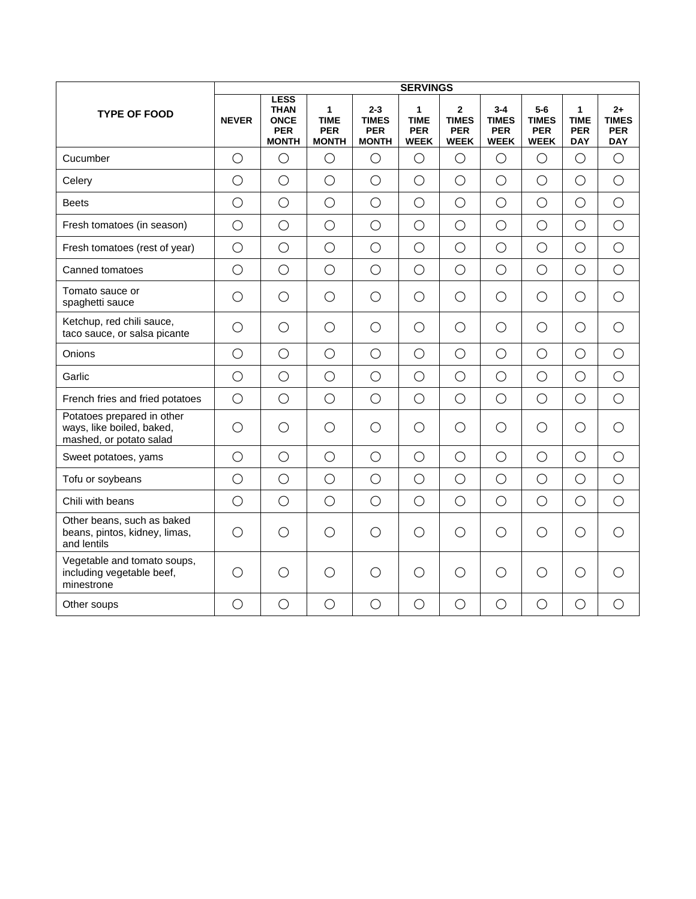|                                                                                    |              |                                                                         |                                                |                                                       | <b>SERVINGS</b>                               |                                                             |                                                      |                                                    |                                              |                                                  |
|------------------------------------------------------------------------------------|--------------|-------------------------------------------------------------------------|------------------------------------------------|-------------------------------------------------------|-----------------------------------------------|-------------------------------------------------------------|------------------------------------------------------|----------------------------------------------------|----------------------------------------------|--------------------------------------------------|
| <b>TYPE OF FOOD</b>                                                                | <b>NEVER</b> | <b>LESS</b><br><b>THAN</b><br><b>ONCE</b><br><b>PER</b><br><b>MONTH</b> | 1<br><b>TIME</b><br><b>PER</b><br><b>MONTH</b> | $2 - 3$<br><b>TIMES</b><br><b>PER</b><br><b>MONTH</b> | 1<br><b>TIME</b><br><b>PER</b><br><b>WEEK</b> | $\overline{2}$<br><b>TIMES</b><br><b>PER</b><br><b>WEEK</b> | $3 - 4$<br><b>TIMES</b><br><b>PER</b><br><b>WEEK</b> | $5-6$<br><b>TIMES</b><br><b>PER</b><br><b>WEEK</b> | 1<br><b>TIME</b><br><b>PER</b><br><b>DAY</b> | $2+$<br><b>TIMES</b><br><b>PER</b><br><b>DAY</b> |
| Cucumber                                                                           | $\bigcirc$   | $\bigcirc$                                                              | $\bigcirc$                                     | $\bigcirc$                                            | О                                             | $\bigcirc$                                                  | $\bigcirc$                                           | $\bigcirc$                                         | $\bigcirc$                                   | $\bigcirc$                                       |
| Celery                                                                             | $\bigcirc$   | $\bigcirc$                                                              | $\bigcirc$                                     | $\bigcirc$                                            | $\bigcirc$                                    | $\bigcirc$                                                  | $\bigcirc$                                           | $\bigcirc$                                         | $\bigcirc$                                   | $\bigcirc$                                       |
| <b>Beets</b>                                                                       | $\bigcirc$   | $\bigcirc$                                                              | $\bigcirc$                                     | $\bigcirc$                                            | $\bigcirc$                                    | $\bigcirc$                                                  | $\bigcirc$                                           | $\bigcirc$                                         | $\bigcirc$                                   | $\bigcirc$                                       |
| Fresh tomatoes (in season)                                                         | $\bigcirc$   | $\bigcirc$                                                              | $\bigcirc$                                     | $\bigcirc$                                            | $\bigcirc$                                    | $\bigcirc$                                                  | $\bigcirc$                                           | $\bigcirc$                                         | $\bigcirc$                                   | $\bigcirc$                                       |
| Fresh tomatoes (rest of year)                                                      | $\bigcirc$   | $\bigcirc$                                                              | $\bigcirc$                                     | $\bigcirc$                                            | $\bigcirc$                                    | $\bigcirc$                                                  | $\bigcirc$                                           | $\bigcirc$                                         | $\bigcirc$                                   | $\bigcirc$                                       |
| Canned tomatoes                                                                    | $\bigcirc$   | $\bigcirc$                                                              | $\bigcirc$                                     | $\bigcirc$                                            | $\bigcirc$                                    | $\bigcirc$                                                  | $\bigcirc$                                           | $\bigcirc$                                         | $\bigcirc$                                   | $\bigcirc$                                       |
| Tomato sauce or<br>spaghetti sauce                                                 | $\bigcirc$   | $\bigcirc$                                                              | $\bigcirc$                                     | $\bigcirc$                                            | $\bigcirc$                                    | $\bigcirc$                                                  | $\bigcirc$                                           | $\bigcirc$                                         | $\bigcirc$                                   | $\bigcirc$                                       |
| Ketchup, red chili sauce,<br>taco sauce, or salsa picante                          | $\bigcirc$   | $\bigcirc$                                                              | $\bigcirc$                                     | $\bigcirc$                                            | $\bigcirc$                                    | $\bigcirc$                                                  | $\bigcirc$                                           | $\bigcirc$                                         | $\bigcirc$                                   | $\bigcirc$                                       |
| Onions                                                                             | $\bigcirc$   | $\bigcirc$                                                              | $\bigcirc$                                     | $\bigcirc$                                            | $\bigcirc$                                    | $\bigcirc$                                                  | $\bigcirc$                                           | $\bigcirc$                                         | $\bigcirc$                                   | $\bigcirc$                                       |
| Garlic                                                                             | $\bigcirc$   | $\bigcirc$                                                              | $\bigcirc$                                     | $\bigcirc$                                            | $\bigcirc$                                    | $\bigcirc$                                                  | $\bigcirc$                                           | $\bigcirc$                                         | $\bigcirc$                                   | $\bigcirc$                                       |
| French fries and fried potatoes                                                    | $\bigcirc$   | $\bigcirc$                                                              | $\bigcirc$                                     | $\bigcirc$                                            | $\bigcirc$                                    | $\bigcirc$                                                  | $\bigcirc$                                           | $\bigcirc$                                         | $\bigcirc$                                   | $\bigcirc$                                       |
| Potatoes prepared in other<br>ways, like boiled, baked,<br>mashed, or potato salad | $\bigcirc$   | $\bigcirc$                                                              | $\bigcirc$                                     | $\bigcirc$                                            | $\bigcirc$                                    | $\bigcirc$                                                  | $\bigcirc$                                           | $\bigcirc$                                         | $\bigcirc$                                   | $\bigcirc$                                       |
| Sweet potatoes, yams                                                               | $\bigcirc$   | $\bigcirc$                                                              | $\bigcirc$                                     | $\bigcirc$                                            | $\bigcirc$                                    | $\bigcirc$                                                  | $\bigcirc$                                           | $\bigcirc$                                         | $\bigcirc$                                   | $\bigcirc$                                       |
| Tofu or soybeans                                                                   | $\bigcirc$   | $\bigcirc$                                                              | $\bigcirc$                                     | $\bigcirc$                                            | $\bigcirc$                                    | $\bigcirc$                                                  | $\bigcirc$                                           | $\bigcirc$                                         | $\bigcirc$                                   | $\bigcirc$                                       |
| Chili with beans                                                                   | $\bigcirc$   | $\bigcirc$                                                              | $\bigcirc$                                     | $\bigcirc$                                            | $\bigcirc$                                    | $\bigcirc$                                                  | $\bigcirc$                                           | $\bigcirc$                                         | $\bigcirc$                                   | $\bigcirc$                                       |
| Other beans, such as baked<br>beans, pintos, kidney, limas,<br>and lentils         | $\bigcirc$   | $\bigcirc$                                                              | $\bigcirc$                                     | $\bigcirc$                                            | $\bigcirc$                                    | $\bigcirc$                                                  | $\bigcirc$                                           | $\bigcirc$                                         | $\bigcirc$                                   | $\bigcirc$                                       |
| Vegetable and tomato soups,<br>including vegetable beef,<br>minestrone             | $\bigcirc$   | ◯                                                                       | $\bigcirc$                                     | $\bigcirc$                                            | $\bigcirc$                                    | $\bigcirc$                                                  | $\bigcirc$                                           | O                                                  | $\bigcirc$                                   | $\bigcirc$                                       |
| Other soups                                                                        | $\bigcirc$   | $\bigcirc$                                                              | $\bigcirc$                                     | $\bigcirc$                                            | $\bigcirc$                                    | $\bigcirc$                                                  | $\bigcirc$                                           | $\bigcirc$                                         | $\bigcirc$                                   | $\bigcirc$                                       |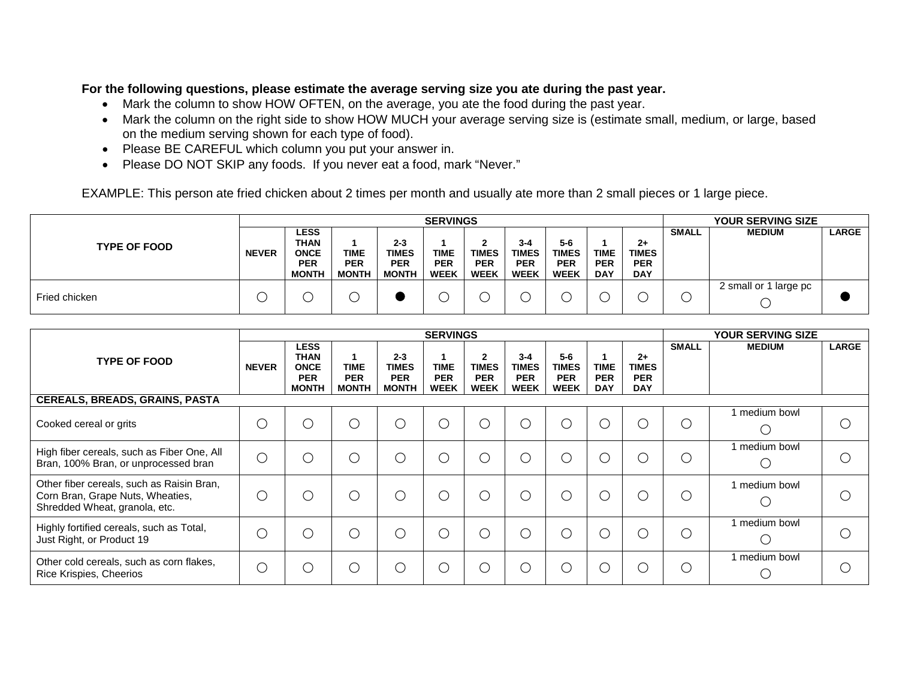### **For the following questions, please estimate the average serving size you ate during the past year.**

- Mark the column to show HOW OFTEN, on the average, you ate the food during the past year.
- Mark the column on the right side to show HOW MUCH your average serving size is (estimate small, medium, or large, based on the medium serving shown for each type of food).
- Please BE CAREFUL which column you put your answer in.
- Please DO NOT SKIP any foods. If you never eat a food, mark "Never."

EXAMPLE: This person ate fried chicken about 2 times per month and usually ate more than 2 small pieces or 1 large piece.

|                     |              |                                                                         |                                           |                                                       | <b>SERVINGS</b>                          |                                                |                                                      |                                                    |                                         |                                                  |              | <b>YOUR SERVING SIZE</b> |              |
|---------------------|--------------|-------------------------------------------------------------------------|-------------------------------------------|-------------------------------------------------------|------------------------------------------|------------------------------------------------|------------------------------------------------------|----------------------------------------------------|-----------------------------------------|--------------------------------------------------|--------------|--------------------------|--------------|
| <b>TYPE OF FOOD</b> | <b>NEVER</b> | <b>LESS</b><br><b>THAN</b><br><b>ONCE</b><br><b>PER</b><br><b>MONTH</b> | <b>TIME</b><br><b>PER</b><br><b>MONTH</b> | $2 - 3$<br><b>TIMES</b><br><b>PER</b><br><b>MONTH</b> | <b>TIME</b><br><b>PER</b><br><b>WEEK</b> | າ<br><b>TIMES</b><br><b>PER</b><br><b>WEEK</b> | $3 - 4$<br><b>TIMES</b><br><b>PER</b><br><b>WEEK</b> | $5-6$<br><b>TIMES</b><br><b>PER</b><br><b>WEEK</b> | <b>TIME</b><br><b>PER</b><br><b>DAY</b> | $2+$<br><b>TIMES</b><br><b>PER</b><br><b>DAY</b> | <b>SMALL</b> | <b>MEDIUM</b>            | <b>LARGE</b> |
| Fried chicken       |              |                                                                         |                                           |                                                       |                                          |                                                |                                                      |                                                    |                                         |                                                  |              | 2 small or 1 large pc    |              |

|                                                                                                                |                |                                                                         |                                           |                                                       | <b>SERVINGS</b>                          |                                                             |                                                      |                                                    |                                         |                                                  |              | <b>YOUR SERVING SIZE</b> |              |
|----------------------------------------------------------------------------------------------------------------|----------------|-------------------------------------------------------------------------|-------------------------------------------|-------------------------------------------------------|------------------------------------------|-------------------------------------------------------------|------------------------------------------------------|----------------------------------------------------|-----------------------------------------|--------------------------------------------------|--------------|--------------------------|--------------|
| <b>TYPE OF FOOD</b>                                                                                            | <b>NEVER</b>   | <b>LESS</b><br><b>THAN</b><br><b>ONCE</b><br><b>PER</b><br><b>MONTH</b> | <b>TIME</b><br><b>PER</b><br><b>MONTH</b> | $2 - 3$<br><b>TIMES</b><br><b>PER</b><br><b>MONTH</b> | <b>TIME</b><br><b>PER</b><br><b>WEEK</b> | $\overline{2}$<br><b>TIMES</b><br><b>PER</b><br><b>WEEK</b> | $3 - 4$<br><b>TIMES</b><br><b>PER</b><br><b>WEEK</b> | $5-6$<br><b>TIMES</b><br><b>PER</b><br><b>WEEK</b> | <b>TIME</b><br><b>PER</b><br><b>DAY</b> | $2+$<br><b>TIMES</b><br><b>PER</b><br><b>DAY</b> | <b>SMALL</b> | <b>MEDIUM</b>            | <b>LARGE</b> |
| <b>CEREALS, BREADS, GRAINS, PASTA</b>                                                                          |                |                                                                         |                                           |                                                       |                                          |                                                             |                                                      |                                                    |                                         |                                                  |              |                          |              |
| Cooked cereal or grits                                                                                         | $\overline{C}$ | $($ )                                                                   | . )                                       | ( )                                                   | $\cup$                                   | $\bigcirc$                                                  | O                                                    | $\left( \quad \right)$                             | $\cup$                                  | $\subset$                                        | С            | medium bowl              |              |
| High fiber cereals, such as Fiber One, All<br>Bran, 100% Bran, or unprocessed bran                             | $\bigcirc$     |                                                                         |                                           | Ο.                                                    | $\ldots$                                 | $\bigcirc$                                                  | $\bigcirc$                                           | $\left( \quad \right)$                             | O                                       | C                                                | C            | medium bowl              |              |
| Other fiber cereals, such as Raisin Bran,<br>Corn Bran, Grape Nuts, Wheaties,<br>Shredded Wheat, granola, etc. | C.             |                                                                         |                                           | $\mathbf{1}$                                          | $\Box$                                   | C                                                           | $\bigcirc$                                           | ( )                                                |                                         | C                                                | С            | 1 medium bowl            |              |
| Highly fortified cereals, such as Total,<br>Just Right, or Product 19                                          |                |                                                                         |                                           | $\mathcal{L}$                                         | $\Box$                                   | $\bigcirc$                                                  | $\bigcirc$                                           | ∩                                                  |                                         | C                                                | С            | medium bowl<br>(         |              |
| Other cold cereals, such as corn flakes,<br>Rice Krispies, Cheerios                                            | С              |                                                                         |                                           |                                                       | $\cdots$                                 | $\bigcirc$                                                  | O                                                    | ∩                                                  |                                         | C                                                | С            | medium bowl              |              |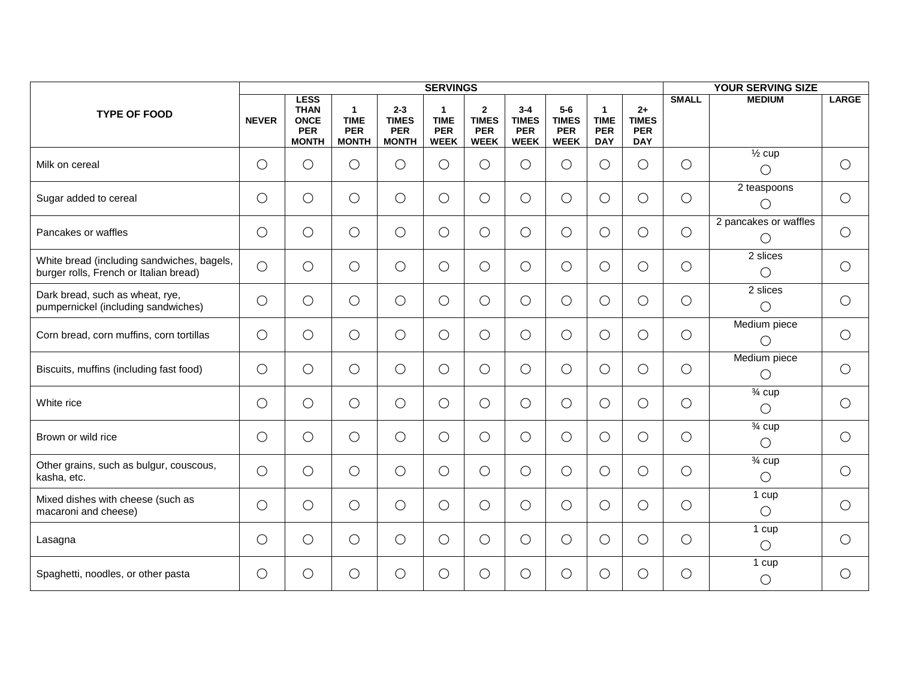|                                                                                      |              |                                                                         |                                                           |                                                       | <b>SERVINGS</b>                               |                                                           |                                                      |                                                    |                                                         |                                                  |              | <b>YOUR SERVING SIZE</b>                   |              |
|--------------------------------------------------------------------------------------|--------------|-------------------------------------------------------------------------|-----------------------------------------------------------|-------------------------------------------------------|-----------------------------------------------|-----------------------------------------------------------|------------------------------------------------------|----------------------------------------------------|---------------------------------------------------------|--------------------------------------------------|--------------|--------------------------------------------|--------------|
| <b>TYPE OF FOOD</b>                                                                  | <b>NEVER</b> | <b>LESS</b><br><b>THAN</b><br><b>ONCE</b><br><b>PER</b><br><b>MONTH</b> | $\mathbf{1}$<br><b>TIME</b><br><b>PER</b><br><b>MONTH</b> | $2 - 3$<br><b>TIMES</b><br><b>PER</b><br><b>MONTH</b> | 1<br><b>TIME</b><br><b>PER</b><br><b>WEEK</b> | $\mathbf{2}$<br><b>TIMES</b><br><b>PER</b><br><b>WEEK</b> | $3 - 4$<br><b>TIMES</b><br><b>PER</b><br><b>WEEK</b> | $5-6$<br><b>TIMES</b><br><b>PER</b><br><b>WEEK</b> | $\mathbf{1}$<br><b>TIME</b><br><b>PER</b><br><b>DAY</b> | $2+$<br><b>TIMES</b><br><b>PER</b><br><b>DAY</b> | <b>SMALL</b> | <b>MEDIUM</b>                              | <b>LARGE</b> |
| Milk on cereal                                                                       | $\bigcirc$   | $\bigcirc$                                                              | $\bigcirc$                                                | $\bigcirc$                                            | $\bigcirc$                                    | $\bigcirc$                                                | $\bigcirc$                                           | $\bigcirc$                                         | $\bigcirc$                                              | $\bigcirc$                                       | $\bigcirc$   | $\overline{\frac{1}{2}}$ cup<br>$\bigcirc$ | $\bigcirc$   |
| Sugar added to cereal                                                                | $\bigcirc$   | $\bigcirc$                                                              | $\bigcirc$                                                | $\bigcirc$                                            | $\bigcirc$                                    | $\bigcirc$                                                | О                                                    | $\bigcirc$                                         | О                                                       | $\bigcirc$                                       | $\bigcirc$   | 2 teaspoons<br>$\bigcirc$                  | $\bigcirc$   |
| Pancakes or waffles                                                                  | $\bigcirc$   | $\bigcirc$                                                              | $\bigcirc$                                                | $\bigcirc$                                            | $\bigcirc$                                    | $\bigcirc$                                                | $\bigcirc$                                           | $\bigcirc$                                         | $\bigcirc$                                              | $\bigcirc$                                       | $\bigcirc$   | 2 pancakes or waffles<br>$\bigcirc$        | $\bigcirc$   |
| White bread (including sandwiches, bagels,<br>burger rolls, French or Italian bread) | $\bigcirc$   | $\bigcirc$                                                              | $\bigcirc$                                                | $\bigcirc$                                            | $\bigcirc$                                    | $\bigcirc$                                                | $\bigcirc$                                           | $\bigcirc$                                         | О                                                       | $\bigcirc$                                       | $\bigcirc$   | 2 slices<br>О                              | $\bigcirc$   |
| Dark bread, such as wheat, rye,<br>pumpernickel (including sandwiches)               | $\bigcirc$   | $\bigcirc$                                                              | $\bigcirc$                                                | $\bigcirc$                                            | $\bigcirc$                                    | $\bigcirc$                                                | $\bigcirc$                                           | $\bigcirc$                                         | $\bigcirc$                                              | $\bigcirc$                                       | $\bigcirc$   | 2 slices<br>$\bigcirc$                     | $\bigcirc$   |
| Corn bread, corn muffins, corn tortillas                                             | $\bigcirc$   | $\bigcirc$                                                              | $\bigcirc$                                                | $\bigcirc$                                            | $\bigcirc$                                    | $\bigcirc$                                                | $\bigcirc$                                           | $\bigcirc$                                         | О                                                       | $\bigcirc$                                       | $\bigcirc$   | Medium piece<br>$\bigcirc$                 | $\bigcirc$   |
| Biscuits, muffins (including fast food)                                              | $\bigcirc$   | $\bigcirc$                                                              | $\bigcirc$                                                | $\bigcirc$                                            | $\bigcirc$                                    | $\bigcirc$                                                | $\bigcirc$                                           | $\bigcirc$                                         | О                                                       | $\bigcirc$                                       | $\bigcirc$   | Medium piece<br>$\bigcirc$                 | $\bigcirc$   |
| White rice                                                                           | $\bigcirc$   | $\bigcirc$                                                              | $\bigcirc$                                                | $\bigcirc$                                            | $\bigcirc$                                    | $\bigcirc$                                                | $\bigcirc$                                           | $\bigcirc$                                         | О                                                       | $\bigcirc$                                       | $\bigcirc$   | $\frac{3}{4}$ cup<br>$\bigcirc$            | $\bigcirc$   |
| Brown or wild rice                                                                   | $\bigcirc$   | $\bigcirc$                                                              | $\bigcirc$                                                | $\bigcirc$                                            | $\bigcirc$                                    | $\bigcirc$                                                | $\bigcirc$                                           | $\bigcirc$                                         | О                                                       | $\bigcirc$                                       | $\bigcirc$   | $\overline{\frac{3}{4}}$ cup<br>$\bigcirc$ | $\bigcirc$   |
| Other grains, such as bulgur, couscous,<br>kasha, etc.                               | $\bigcirc$   | $\bigcirc$                                                              | $\bigcirc$                                                | $\bigcirc$                                            | $\bigcirc$                                    | $\bigcirc$                                                | $\bigcirc$                                           | $\bigcirc$                                         | О                                                       | $\bigcirc$                                       | $\bigcirc$   | $\frac{3}{4}$ cup<br>$\bigcirc$            | $\bigcirc$   |
| Mixed dishes with cheese (such as<br>macaroni and cheese)                            | $\bigcirc$   | $\bigcirc$                                                              | $\bigcirc$                                                | $\bigcirc$                                            | $\bigcirc$                                    | $\bigcirc$                                                | $\bigcirc$                                           | $\bigcirc$                                         | О                                                       | $\bigcirc$                                       | $\bigcirc$   | 1 cup<br>$\bigcirc$                        | $\bigcirc$   |
| Lasagna                                                                              | $\bigcirc$   | $\bigcirc$                                                              | $\bigcirc$                                                | $\bigcirc$                                            | $\bigcirc$                                    | $\bigcirc$                                                | $\bigcirc$                                           | $\bigcirc$                                         | О                                                       | $\bigcirc$                                       | $\bigcirc$   | 1 cup<br>$\bigcirc$                        | $\bigcirc$   |
| Spaghetti, noodles, or other pasta                                                   | O            | $\bigcirc$                                                              | $\bigcirc$                                                | $\bigcirc$                                            | $\bigcirc$                                    | $\bigcirc$                                                | $\bigcirc$                                           | $\bigcirc$                                         | О                                                       | $\bigcirc$                                       | $\bigcirc$   | 1 cup<br>$\bigcirc$                        | $\bigcirc$   |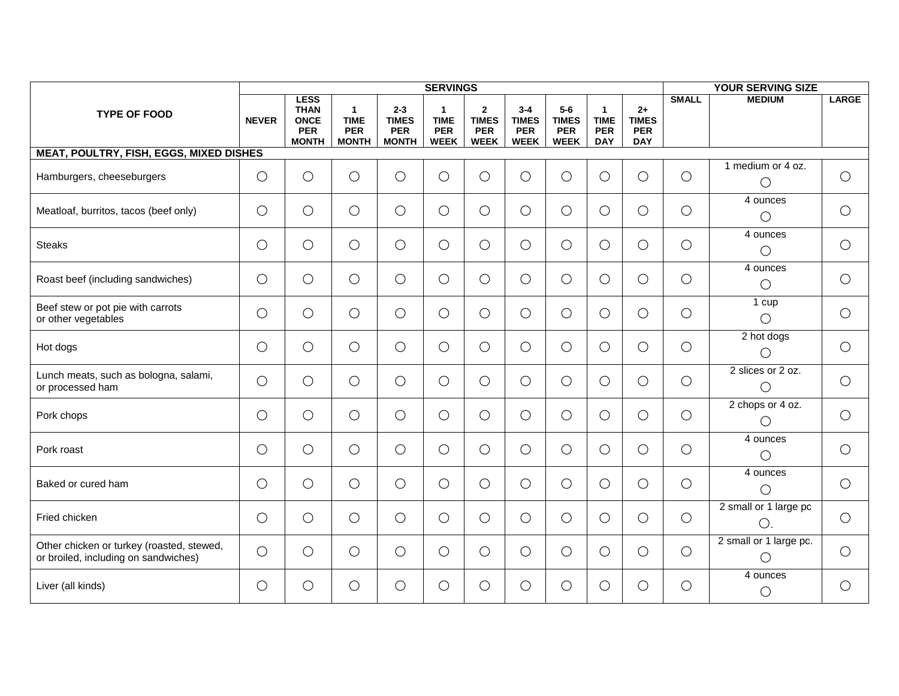|                                                                                   |              |                                                                         |                                                           |                                                       | <b>SERVINGS</b>                                         |                                                             |                                                      |                                                    |                                                         |                                                  |              | <b>YOUR SERVING SIZE</b>              |              |
|-----------------------------------------------------------------------------------|--------------|-------------------------------------------------------------------------|-----------------------------------------------------------|-------------------------------------------------------|---------------------------------------------------------|-------------------------------------------------------------|------------------------------------------------------|----------------------------------------------------|---------------------------------------------------------|--------------------------------------------------|--------------|---------------------------------------|--------------|
| <b>TYPE OF FOOD</b>                                                               | <b>NEVER</b> | <b>LESS</b><br><b>THAN</b><br><b>ONCE</b><br><b>PER</b><br><b>MONTH</b> | $\mathbf{1}$<br><b>TIME</b><br><b>PER</b><br><b>MONTH</b> | $2 - 3$<br><b>TIMES</b><br><b>PER</b><br><b>MONTH</b> | $\mathbf 1$<br><b>TIME</b><br><b>PER</b><br><b>WEEK</b> | $\overline{2}$<br><b>TIMES</b><br><b>PER</b><br><b>WEEK</b> | $3 - 4$<br><b>TIMES</b><br><b>PER</b><br><b>WEEK</b> | $5-6$<br><b>TIMES</b><br><b>PER</b><br><b>WEEK</b> | $\mathbf{1}$<br><b>TIME</b><br><b>PER</b><br><b>DAY</b> | $2+$<br><b>TIMES</b><br><b>PER</b><br><b>DAY</b> | <b>SMALL</b> | <b>MEDIUM</b>                         | <b>LARGE</b> |
| <b>MEAT, POULTRY, FISH, EGGS, MIXED DISHES</b>                                    |              |                                                                         |                                                           |                                                       |                                                         |                                                             |                                                      |                                                    |                                                         |                                                  |              |                                       |              |
| Hamburgers, cheeseburgers                                                         | $\bigcirc$   | $\bigcirc$                                                              | $\bigcirc$                                                | $\bigcirc$                                            | $\bigcirc$                                              | $\bigcirc$                                                  | $\bigcirc$                                           | $\bigcirc$                                         | $\bigcirc$                                              | $\bigcirc$                                       | $\bigcirc$   | 1 medium or 4 oz.<br>$\bigcirc$       | $\bigcirc$   |
| Meatloaf, burritos, tacos (beef only)                                             | $\bigcirc$   | $\bigcirc$                                                              | $\bigcirc$                                                | $\bigcirc$                                            | $\bigcirc$                                              | $\bigcirc$                                                  | О                                                    | $\bigcirc$                                         | $\bigcirc$                                              | $\bigcirc$                                       | $\bigcirc$   | 4 ounces<br>$\bigcirc$                | $\bigcirc$   |
| <b>Steaks</b>                                                                     | $\bigcirc$   | $\bigcirc$                                                              | $\bigcirc$                                                | $\bigcirc$                                            | $\bigcirc$                                              | $\bigcirc$                                                  | $\bigcirc$                                           | $\bigcirc$                                         | $\bigcirc$                                              | $\bigcirc$                                       | $\bigcirc$   | 4 ounces<br>$\bigcirc$                | $\bigcirc$   |
| Roast beef (including sandwiches)                                                 | $\bigcirc$   | $\bigcirc$                                                              | $\bigcirc$                                                | $\bigcirc$                                            | $\bigcirc$                                              | $\bigcirc$                                                  | $\bigcirc$                                           | $\bigcirc$                                         | $\bigcirc$                                              | $\bigcirc$                                       | $\bigcirc$   | 4 ounces<br>$\bigcirc$                | $\bigcirc$   |
| Beef stew or pot pie with carrots<br>or other vegetables                          | $\bigcirc$   | $\bigcirc$                                                              | $\bigcirc$                                                | $\bigcirc$                                            | $\bigcirc$                                              | $\bigcirc$                                                  | $\bigcirc$                                           | $\bigcirc$                                         | $\bigcirc$                                              | $\bigcirc$                                       | $\bigcirc$   | 1 cup<br>$\bigcirc$                   | $\bigcirc$   |
| Hot dogs                                                                          | $\bigcirc$   | $\bigcirc$                                                              | $\bigcirc$                                                | $\bigcirc$                                            | $\bigcirc$                                              | $\bigcirc$                                                  | $\bigcirc$                                           | $\bigcirc$                                         | $\bigcirc$                                              | $\bigcirc$                                       | $\bigcirc$   | 2 hot dogs<br>$\bigcirc$              | $\bigcirc$   |
| Lunch meats, such as bologna, salami,<br>or processed ham                         | $\bigcirc$   | $\bigcirc$                                                              | $\bigcirc$                                                | $\bigcirc$                                            | $\bigcirc$                                              | $\bigcirc$                                                  | $\bigcirc$                                           | $\bigcirc$                                         | $\bigcirc$                                              | $\bigcirc$                                       | $\bigcirc$   | 2 slices or 2 oz.<br>$\bigcirc$       | $\bigcirc$   |
| Pork chops                                                                        | $\bigcirc$   | $\bigcirc$                                                              | $\bigcirc$                                                | $\bigcirc$                                            | $\bigcirc$                                              | $\bigcirc$                                                  | $\bigcirc$                                           | $\bigcirc$                                         | $\bigcirc$                                              | $\bigcirc$                                       | $\bigcirc$   | 2 chops or 4 oz.<br>$\bigcirc$        | $\bigcirc$   |
| Pork roast                                                                        | $\bigcirc$   | $\bigcirc$                                                              | $\bigcirc$                                                | $\bigcirc$                                            | $\bigcirc$                                              | $\bigcirc$                                                  | $\bigcirc$                                           | $\bigcirc$                                         | $\bigcirc$                                              | $\bigcirc$                                       | $\bigcirc$   | 4 ounces<br>$\bigcirc$                | $\bigcirc$   |
| Baked or cured ham                                                                | $\bigcirc$   | $\bigcirc$                                                              | $\bigcirc$                                                | $\bigcirc$                                            | $\bigcirc$                                              | $\bigcirc$                                                  | $\bigcirc$                                           | $\bigcirc$                                         | $\bigcirc$                                              | $\bigcirc$                                       | $\bigcirc$   | 4 ounces<br>$\bigcirc$                | $\bigcirc$   |
| Fried chicken                                                                     | $\bigcirc$   | $\bigcirc$                                                              | $\bigcirc$                                                | $\bigcirc$                                            | $\bigcirc$                                              | $\bigcirc$                                                  | О                                                    | $\bigcirc$                                         | $\bigcirc$                                              | $\bigcirc$                                       | $\bigcirc$   | 2 small or 1 large pc<br>$\bigcirc$ . | $\bigcirc$   |
| Other chicken or turkey (roasted, stewed,<br>or broiled, including on sandwiches) | $\bigcirc$   | $\bigcirc$                                                              | $\bigcirc$                                                | $\bigcirc$                                            | $\bigcirc$                                              | $\bigcirc$                                                  | О                                                    | $\bigcirc$                                         | $\bigcirc$                                              | $\bigcirc$                                       | $\bigcirc$   | 2 small or 1 large pc.<br>$\bigcirc$  | $\bigcirc$   |
| Liver (all kinds)                                                                 | $\bigcirc$   | $\bigcirc$                                                              | $\bigcirc$                                                | О                                                     | $\bigcirc$                                              | $\bigcirc$                                                  | $\bigcirc$                                           | $\bigcirc$                                         | $\bigcirc$                                              | $\bigcirc$                                       | $\bigcirc$   | 4 ounces<br>О                         | $\bigcirc$   |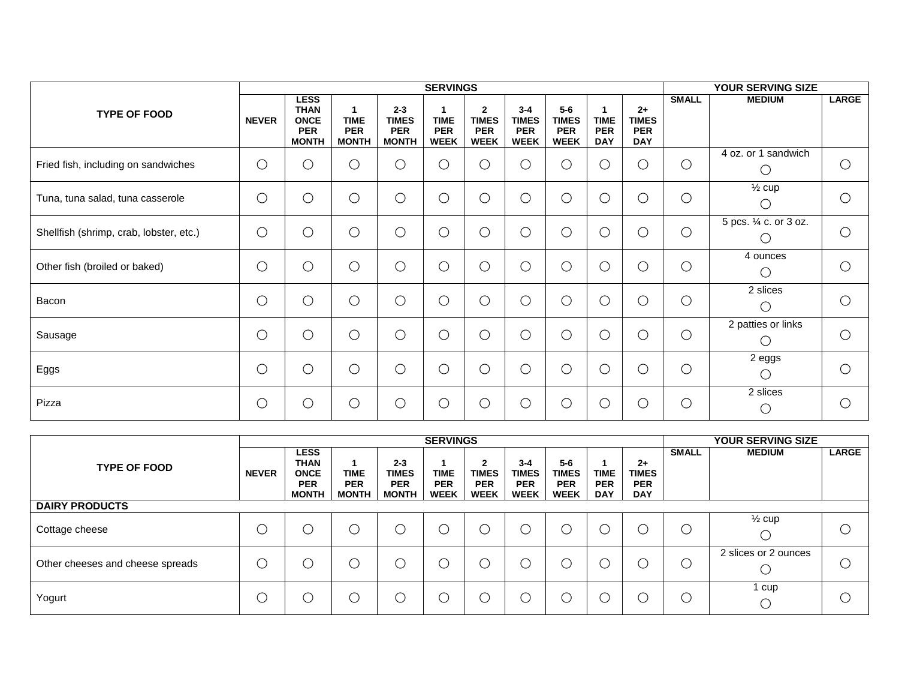|                                         |              |                                                                         |                                           |                                                       | <b>SERVINGS</b>                          |                                                             |                                                      |                                                    |                                         |                                                  |              | YOUR SERVING SIZE                                     |              |
|-----------------------------------------|--------------|-------------------------------------------------------------------------|-------------------------------------------|-------------------------------------------------------|------------------------------------------|-------------------------------------------------------------|------------------------------------------------------|----------------------------------------------------|-----------------------------------------|--------------------------------------------------|--------------|-------------------------------------------------------|--------------|
| <b>TYPE OF FOOD</b>                     | <b>NEVER</b> | <b>LESS</b><br><b>THAN</b><br><b>ONCE</b><br><b>PER</b><br><b>MONTH</b> | <b>TIME</b><br><b>PER</b><br><b>MONTH</b> | $2 - 3$<br><b>TIMES</b><br><b>PER</b><br><b>MONTH</b> | <b>TIME</b><br><b>PER</b><br><b>WEEK</b> | $\overline{2}$<br><b>TIMES</b><br><b>PER</b><br><b>WEEK</b> | $3 - 4$<br><b>TIMES</b><br><b>PER</b><br><b>WEEK</b> | $5-6$<br><b>TIMES</b><br><b>PER</b><br><b>WEEK</b> | <b>TIME</b><br><b>PER</b><br><b>DAY</b> | $2+$<br><b>TIMES</b><br><b>PER</b><br><b>DAY</b> | <b>SMALL</b> | <b>MEDIUM</b>                                         | <b>LARGE</b> |
| Fried fish, including on sandwiches     | $\bigcirc$   | О                                                                       | ∩                                         | O                                                     | O                                        | $\bigcirc$                                                  | О                                                    | $\bigcirc$                                         | О                                       | $\bigcirc$                                       | $\bigcirc$   | 4 oz. or 1 sandwich<br>O                              | $\bigcirc$   |
| Tuna, tuna salad, tuna casserole        | $\bigcirc$   | $\bigcirc$                                                              | $\bigcirc$                                | О                                                     | $\bigcirc$                               | $\bigcirc$                                                  | $\bigcirc$                                           | $\bigcirc$                                         | О                                       | $\bigcirc$                                       | $\bigcirc$   | $\frac{1}{2}$ cup<br>$\cup$                           | О            |
| Shellfish (shrimp, crab, lobster, etc.) | $\bigcirc$   | $\bigcirc$                                                              | $\bigcirc$                                | $\bigcirc$                                            | $\bigcirc$                               | $\bigcirc$                                                  | $\bigcirc$                                           | $\bigcirc$                                         | О                                       | $\bigcirc$                                       | $\bigcirc$   | 5 pcs. 1/4 c. or 3 oz.                                | $\bigcirc$   |
| Other fish (broiled or baked)           | $\bigcirc$   | $\bigcirc$                                                              | $\bigcirc$                                | $\bigcirc$                                            | $\bigcirc$                               | $\bigcirc$                                                  | $\bigcirc$                                           | $\bigcirc$                                         | O                                       | $\bigcirc$                                       | $\bigcirc$   | 4 ounces<br>$\bigcirc$                                | О            |
| Bacon                                   | $\bigcirc$   | $\bigcirc$                                                              | $\bigcirc$                                | О                                                     | $\bigcirc$                               | $\bigcirc$                                                  | $\bigcirc$                                           | $\bigcirc$                                         | O                                       | $\bigcirc$                                       | $\bigcirc$   | 2 slices<br>O                                         | $\bigcirc$   |
| Sausage                                 | $\bigcirc$   | $\bigcirc$                                                              | $\bigcirc$                                | $\bigcirc$                                            | $\bigcirc$                               | $\bigcirc$                                                  | $\bigcirc$                                           | $\bigcirc$                                         | О                                       | $\bigcirc$                                       | $\bigcirc$   | 2 patties or links<br>Ő                               | $\bigcirc$   |
| Eggs                                    | $\bigcirc$   | $\bigcirc$                                                              | $\bigcirc$                                | $\bigcirc$                                            | $\bigcirc$                               | $\bigcirc$                                                  | $\bigcirc$                                           | $\bigcirc$                                         | $\overline{O}$                          | $\bigcirc$                                       | $\bigcirc$   | 2 eggs<br>$\left(\begin{array}{c} \end{array}\right)$ | О            |
| Pizza                                   | $\bigcirc$   | С                                                                       | ∩                                         | О                                                     | $\bigcirc$                               | $\bigcirc$                                                  | О                                                    | $\bigcirc$                                         | ∩                                       | $\bigcirc$                                       | $\bigcirc$   | 2 slices<br>О                                         | O            |

|                                  |              |                                                                         |                                           |                                                       | <b>SERVINGS</b>                          |                                                           |                                                      |                                                    |                                         |                                                  |              | YOUR SERVING SIZE    |              |
|----------------------------------|--------------|-------------------------------------------------------------------------|-------------------------------------------|-------------------------------------------------------|------------------------------------------|-----------------------------------------------------------|------------------------------------------------------|----------------------------------------------------|-----------------------------------------|--------------------------------------------------|--------------|----------------------|--------------|
| <b>TYPE OF FOOD</b>              | <b>NEVER</b> | <b>LESS</b><br><b>THAN</b><br><b>ONCE</b><br><b>PER</b><br><b>MONTH</b> | <b>TIME</b><br><b>PER</b><br><b>MONTH</b> | $2 - 3$<br><b>TIMES</b><br><b>PER</b><br><b>MONTH</b> | <b>TIME</b><br><b>PER</b><br><b>WEEK</b> | $\mathbf{2}$<br><b>TIMES</b><br><b>PER</b><br><b>WEEK</b> | $3 - 4$<br><b>TIMES</b><br><b>PER</b><br><b>WEEK</b> | $5-6$<br><b>TIMES</b><br><b>PER</b><br><b>WEEK</b> | <b>TIME</b><br><b>PER</b><br><b>DAY</b> | $2+$<br><b>TIMES</b><br><b>PER</b><br><b>DAY</b> | <b>SMALL</b> | <b>MEDIUM</b>        | <b>LARGE</b> |
| <b>DAIRY PRODUCTS</b>            |              |                                                                         |                                           |                                                       |                                          |                                                           |                                                      |                                                    |                                         |                                                  |              |                      |              |
| Cottage cheese                   | ◡            |                                                                         | . )                                       |                                                       |                                          |                                                           |                                                      |                                                    | $\mathcal{L}$                           |                                                  | U            | $\frac{1}{2}$ cup    |              |
| Other cheeses and cheese spreads |              |                                                                         | $\cup$                                    |                                                       |                                          |                                                           |                                                      |                                                    | $\mathcal{L}$                           |                                                  | U            | 2 slices or 2 ounces | €.           |
| Yogurt                           | ◡            |                                                                         | $\Box$                                    |                                                       |                                          |                                                           |                                                      |                                                    | <sup>L</sup>                            |                                                  | U            | l cup                |              |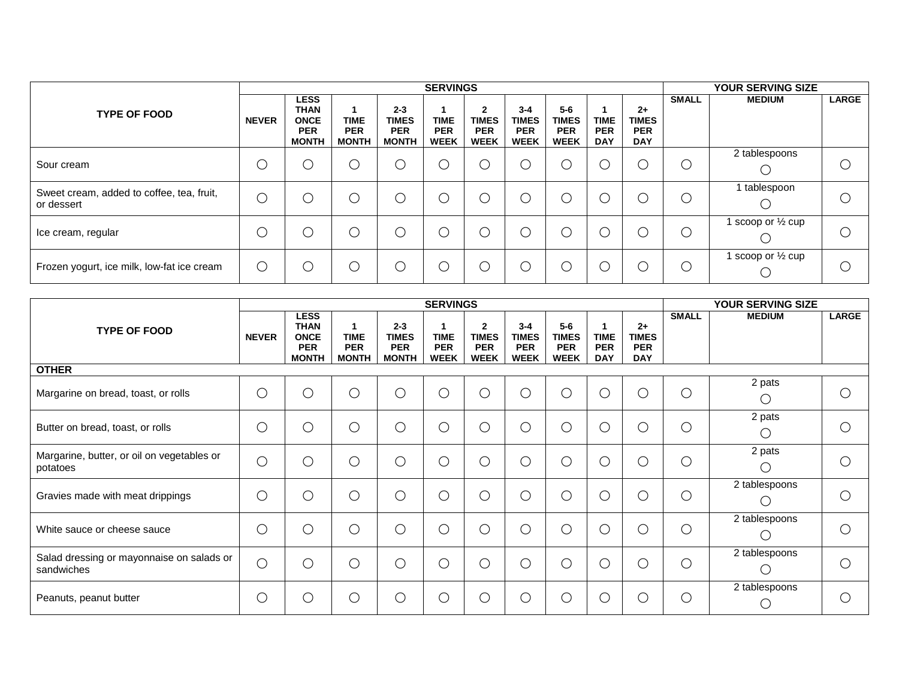|                                                         |              |                                                                         |                                           |                                                       | <b>SERVINGS</b>                          |                                                |                                                      |                                                      |                                         |                                                  |                | <b>YOUR SERVING SIZE</b>   |              |
|---------------------------------------------------------|--------------|-------------------------------------------------------------------------|-------------------------------------------|-------------------------------------------------------|------------------------------------------|------------------------------------------------|------------------------------------------------------|------------------------------------------------------|-----------------------------------------|--------------------------------------------------|----------------|----------------------------|--------------|
| <b>TYPE OF FOOD</b>                                     | <b>NEVER</b> | <b>LESS</b><br><b>THAN</b><br><b>ONCE</b><br><b>PER</b><br><b>MONTH</b> | <b>TIME</b><br><b>PER</b><br><b>MONTH</b> | $2 - 3$<br><b>TIMES</b><br><b>PER</b><br><b>MONTH</b> | <b>TIME</b><br><b>PER</b><br><b>WEEK</b> | 2<br><b>TIMES</b><br><b>PER</b><br><b>WEEK</b> | $3 - 4$<br><b>TIMES</b><br><b>PER</b><br><b>WEEK</b> | $5 - 6$<br><b>TIMES</b><br><b>PER</b><br><b>WEEK</b> | <b>TIME</b><br><b>PER</b><br><b>DAY</b> | $2+$<br><b>TIMES</b><br><b>PER</b><br><b>DAY</b> | <b>SMALL</b>   | <b>MEDIUM</b>              | <b>LARGE</b> |
| Sour cream                                              | C            |                                                                         |                                           | ()                                                    | $\cup$                                   | $\bigcirc$                                     | С                                                    |                                                      |                                         | l.                                               | $\overline{a}$ | 2 tablespoons              |              |
| Sweet cream, added to coffee, tea, fruit,<br>or dessert | С            | ◡                                                                       |                                           | ( )                                                   | $\cup$                                   | О                                              | С                                                    |                                                      |                                         | U                                                | C              | I tablespoon               |              |
| Ice cream, regular                                      | О            | $\mathsf{C}$                                                            |                                           | O                                                     | $\cup$                                   | О                                              | С                                                    | $\mathbb C$                                          | С                                       | U                                                | $\bigcirc$     | scoop or $\frac{1}{2}$ cup | $\cup$       |
| Frozen yogurt, ice milk, low-fat ice cream              | О            | ◡                                                                       |                                           | ( )                                                   | $\bigcirc$                               | О                                              | С                                                    |                                                      |                                         | l.                                               | ∩              | scoop or $\frac{1}{2}$ cup |              |

|                                                         |              |                                                                         |                                           |                                                       | <b>SERVINGS</b>                             |                                                           |                                                      |                                                    |                                         |                                                  | YOUR SERVING SIZE |                            |              |  |
|---------------------------------------------------------|--------------|-------------------------------------------------------------------------|-------------------------------------------|-------------------------------------------------------|---------------------------------------------|-----------------------------------------------------------|------------------------------------------------------|----------------------------------------------------|-----------------------------------------|--------------------------------------------------|-------------------|----------------------------|--------------|--|
| <b>TYPE OF FOOD</b>                                     | <b>NEVER</b> | <b>LESS</b><br><b>THAN</b><br><b>ONCE</b><br><b>PER</b><br><b>MONTH</b> | <b>TIME</b><br><b>PER</b><br><b>MONTH</b> | $2 - 3$<br><b>TIMES</b><br><b>PER</b><br><b>MONTH</b> | <b>TIME</b><br><b>PER</b><br><b>WEEK</b>    | $\mathbf{2}$<br><b>TIMES</b><br><b>PER</b><br><b>WEEK</b> | $3 - 4$<br><b>TIMES</b><br><b>PER</b><br><b>WEEK</b> | $5-6$<br><b>TIMES</b><br><b>PER</b><br><b>WEEK</b> | <b>TIME</b><br><b>PER</b><br><b>DAY</b> | $2+$<br><b>TIMES</b><br><b>PER</b><br><b>DAY</b> | <b>SMALL</b>      | <b>MEDIUM</b>              | <b>LARGE</b> |  |
| <b>OTHER</b>                                            |              |                                                                         |                                           |                                                       |                                             |                                                           |                                                      |                                                    |                                         |                                                  |                   |                            |              |  |
| Margarine on bread, toast, or rolls                     | $\bigcirc$   | ◯                                                                       | 0                                         | O                                                     | O                                           | $\bigcirc$                                                | $\bigcirc$                                           | $\bigcirc$                                         | O                                       | C                                                | $\bigcirc$        | 2 pats<br>$\left( \right)$ | ◯            |  |
| Butter on bread, toast, or rolls                        | $\bigcirc$   | ◯                                                                       | O                                         | ∩                                                     | O                                           | $\bigcirc$                                                | $\bigcirc$                                           | $\bigcirc$                                         | $\bigcirc$                              | C                                                | О                 | 2 pats<br>$\bigcirc$       |              |  |
| Margarine, butter, or oil on vegetables or<br>potatoes  | $\bigcirc$   | ∩                                                                       | ∋                                         | ∩                                                     | О                                           | $\bigcirc$                                                | $\bigcirc$                                           | $\bigcirc$                                         | $\bigcirc$                              | C                                                | $\bigcirc$        | 2 pats<br>$\bigcirc$       |              |  |
| Gravies made with meat drippings                        | $\bigcirc$   | ∩                                                                       | О                                         | ∩                                                     | ∩                                           | O                                                         | $\bigcirc$                                           | $\bigcirc$                                         | $\bigcirc$                              | С                                                | $\bigcirc$        | 2 tablespoons<br>()        | ⌒            |  |
| White sauce or cheese sauce                             | $\bigcirc$   | ∩                                                                       | ∩                                         | ∩                                                     | ○                                           | $\bigcirc$                                                | $\bigcirc$                                           | $\bigcirc$                                         | ∩                                       | $\bigcirc$                                       | C                 | 2 tablespoons<br>()        | ⌒            |  |
| Salad dressing or mayonnaise on salads or<br>sandwiches | $\bigcirc$   | ∩                                                                       | ำ                                         | ∩                                                     | $\left(\begin{array}{c}1\end{array}\right)$ | O                                                         | $\bigcirc$                                           | $\bigcirc$                                         | ◯                                       | С                                                | С                 | 2 tablespoons<br>()        |              |  |
| Peanuts, peanut butter                                  | $\bigcirc$   | ∩                                                                       |                                           | ◠                                                     | $\Box$                                      | С                                                         | $\bigcirc$                                           | ∩                                                  | ∩                                       | C                                                | С                 | 2 tablespoons<br>∩         |              |  |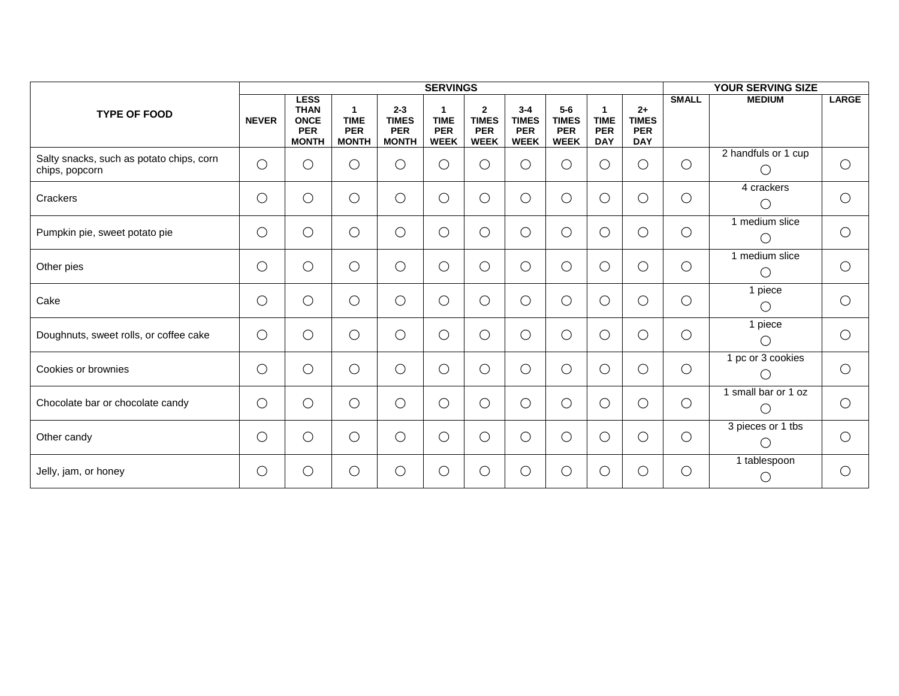|                                                            | <b>SERVINGS</b> |                                                                         |                                                |                                                       |                                          |                                                           |                                                      |                                                    |                                                         | <b>YOUR SERVING SIZE</b>                         |              |                                   |              |
|------------------------------------------------------------|-----------------|-------------------------------------------------------------------------|------------------------------------------------|-------------------------------------------------------|------------------------------------------|-----------------------------------------------------------|------------------------------------------------------|----------------------------------------------------|---------------------------------------------------------|--------------------------------------------------|--------------|-----------------------------------|--------------|
| <b>TYPE OF FOOD</b>                                        | <b>NEVER</b>    | <b>LESS</b><br><b>THAN</b><br><b>ONCE</b><br><b>PER</b><br><b>MONTH</b> | 1<br><b>TIME</b><br><b>PER</b><br><b>MONTH</b> | $2 - 3$<br><b>TIMES</b><br><b>PER</b><br><b>MONTH</b> | <b>TIME</b><br><b>PER</b><br><b>WEEK</b> | $\mathbf{2}$<br><b>TIMES</b><br><b>PER</b><br><b>WEEK</b> | $3 - 4$<br><b>TIMES</b><br><b>PER</b><br><b>WEEK</b> | $5-6$<br><b>TIMES</b><br><b>PER</b><br><b>WEEK</b> | $\mathbf{1}$<br><b>TIME</b><br><b>PER</b><br><b>DAY</b> | $2+$<br><b>TIMES</b><br><b>PER</b><br><b>DAY</b> | <b>SMALL</b> | <b>MEDIUM</b>                     | <b>LARGE</b> |
| Salty snacks, such as potato chips, corn<br>chips, popcorn | $\bigcirc$      | $\bigcirc$                                                              | $\bigcirc$                                     | ◯                                                     | $\bigcirc$                               | $\bigcirc$                                                | О                                                    | O                                                  | $\bigcirc$                                              | $\bigcirc$                                       | $\bigcirc$   | 2 handfuls or 1 cup<br>$\bigcirc$ | $\bigcirc$   |
| Crackers                                                   | $\bigcirc$      | $\bigcirc$                                                              | $\bigcirc$                                     | O                                                     | $\bigcirc$                               | $\bigcirc$                                                | О                                                    | $\bigcirc$                                         | $\bigcirc$                                              | $\bigcirc$                                       | $\bigcirc$   | 4 crackers<br>∩                   | $\bigcirc$   |
| Pumpkin pie, sweet potato pie                              | $\bigcirc$      | $\bigcirc$                                                              | $\bigcirc$                                     | О                                                     | $\bigcirc$                               | $\bigcirc$                                                | $\bigcirc$                                           | $\bigcirc$                                         | $\bigcirc$                                              | $\bigcirc$                                       | $\bigcirc$   | 1 medium slice<br>$\bigcirc$      | $\bigcirc$   |
| Other pies                                                 | $\bigcirc$      | $\bigcirc$                                                              | $\bigcirc$                                     | $\bigcirc$                                            | $\bigcirc$                               | $\bigcirc$                                                | О                                                    | $\bigcirc$                                         | $\bigcirc$                                              | $\bigcirc$                                       | $\bigcirc$   | 1 medium slice<br>$\bigcirc$      | $\bigcirc$   |
| Cake                                                       | $\bigcirc$      | $\bigcirc$                                                              | $\bigcirc$                                     | О                                                     | $\bigcirc$                               | $\bigcirc$                                                | О                                                    | $\bigcirc$                                         | $\bigcirc$                                              | $\bigcirc$                                       | $\bigcirc$   | 1 piece<br>$\bigcirc$             | $\bigcirc$   |
| Doughnuts, sweet rolls, or coffee cake                     | $\bigcirc$      | $\bigcirc$                                                              | $\bigcirc$                                     | O                                                     | $\bigcirc$                               | $\bigcirc$                                                | О                                                    | $\bigcirc$                                         | $\bigcirc$                                              | $\bigcirc$                                       | $\bigcirc$   | 1 piece<br>$\bigcirc$             | $\bigcirc$   |
| Cookies or brownies                                        | $\bigcirc$      | $\bigcirc$                                                              | $\bigcirc$                                     | Ο                                                     | $\bigcirc$                               | $\bigcirc$                                                | $\bigcirc$                                           | $\bigcirc$                                         | $\bigcirc$                                              | $\bigcirc$                                       | $\bigcirc$   | 1 pc or 3 cookies<br>$\bigcirc$   | $\bigcirc$   |
| Chocolate bar or chocolate candy                           | $\bigcirc$      | $\bigcirc$                                                              | $\bigcirc$                                     | О                                                     | $\bigcirc$                               | $\bigcirc$                                                | $\bigcirc$                                           | $\bigcirc$                                         | $\bigcirc$                                              | $\bigcirc$                                       | $\bigcirc$   | 1 small bar or 1 oz<br>$\bigcirc$ | $\bigcirc$   |
| Other candy                                                | $\bigcirc$      | $\bigcirc$                                                              | $\bigcirc$                                     | О                                                     | $\bigcirc$                               | $\bigcirc$                                                | $\bigcirc$                                           | $\bigcirc$                                         | $\bigcirc$                                              | $\bigcirc$                                       | $\bigcirc$   | 3 pieces or 1 tbs<br>$\bigcirc$   | $\bigcirc$   |
| Jelly, jam, or honey                                       | $\bigcirc$      | $\bigcirc$                                                              | $\bigcirc$                                     | О                                                     | $\bigcirc$                               | $\bigcirc$                                                | $\bigcirc$                                           | $\bigcirc$                                         | О                                                       | $\bigcirc$                                       | $\bigcirc$   | 1 tablespoon<br>$\bigcirc$        | $\bigcirc$   |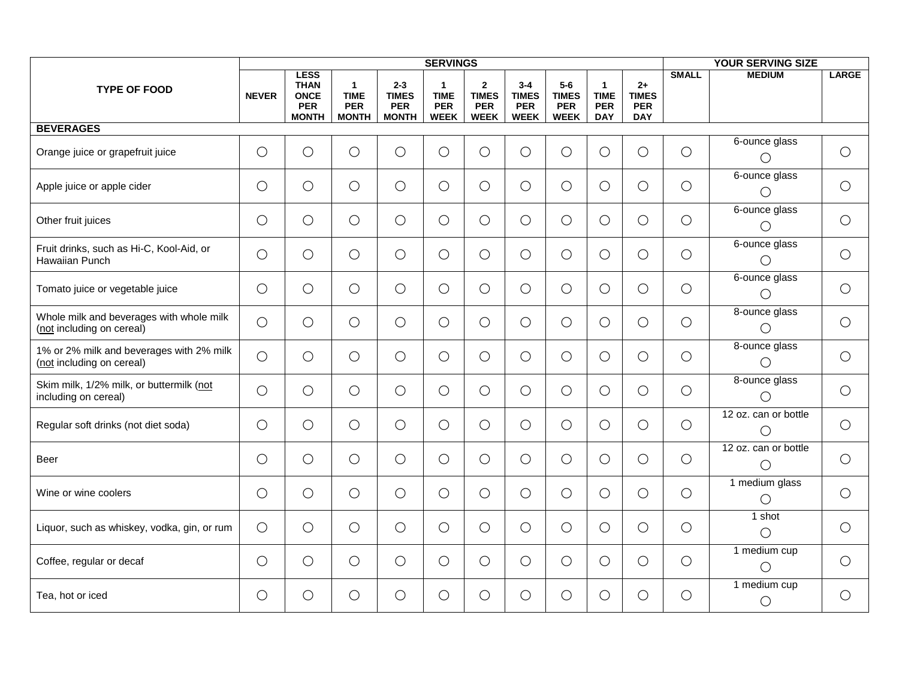|                                                                       |              |                                                                         |                                                           |                                                       | <b>SERVINGS</b>                                          |                                                             |                                                      |                                                    |                                                         |                                                  | <b>YOUR SERVING SIZE</b> |                                    |              |  |
|-----------------------------------------------------------------------|--------------|-------------------------------------------------------------------------|-----------------------------------------------------------|-------------------------------------------------------|----------------------------------------------------------|-------------------------------------------------------------|------------------------------------------------------|----------------------------------------------------|---------------------------------------------------------|--------------------------------------------------|--------------------------|------------------------------------|--------------|--|
| <b>TYPE OF FOOD</b>                                                   | <b>NEVER</b> | <b>LESS</b><br><b>THAN</b><br><b>ONCE</b><br><b>PER</b><br><b>MONTH</b> | $\mathbf{1}$<br><b>TIME</b><br><b>PER</b><br><b>MONTH</b> | $2 - 3$<br><b>TIMES</b><br><b>PER</b><br><b>MONTH</b> | $\mathbf{1}$<br><b>TIME</b><br><b>PER</b><br><b>WEEK</b> | $\overline{2}$<br><b>TIMES</b><br><b>PER</b><br><b>WEEK</b> | $3 - 4$<br><b>TIMES</b><br><b>PER</b><br><b>WEEK</b> | $5-6$<br><b>TIMES</b><br><b>PER</b><br><b>WEEK</b> | $\mathbf{1}$<br><b>TIME</b><br><b>PER</b><br><b>DAY</b> | $2+$<br><b>TIMES</b><br><b>PER</b><br><b>DAY</b> | <b>SMALL</b>             | <b>MEDIUM</b>                      | <b>LARGE</b> |  |
| <b>BEVERAGES</b>                                                      |              |                                                                         |                                                           |                                                       |                                                          |                                                             |                                                      |                                                    |                                                         |                                                  |                          |                                    |              |  |
| Orange juice or grapefruit juice                                      | $\bigcirc$   | $\bigcirc$                                                              | $\bigcirc$                                                | $\bigcirc$                                            | $\bigcirc$                                               | $\bigcirc$                                                  | $\bigcirc$                                           | $\bigcirc$                                         | $\bigcirc$                                              | $\bigcirc$                                       | $\bigcirc$               | 6-ounce glass<br>$\bigcirc$        | $\bigcirc$   |  |
| Apple juice or apple cider                                            | $\bigcirc$   | $\bigcirc$                                                              | $\bigcirc$                                                | $\bigcirc$                                            | $\bigcirc$                                               | $\bigcirc$                                                  | $\bigcirc$                                           | $\bigcirc$                                         | $\bigcirc$                                              | $\bigcirc$                                       | $\bigcirc$               | 6-ounce glass<br>$\bigcirc$        | $\bigcirc$   |  |
| Other fruit juices                                                    | $\bigcirc$   | $\bigcirc$                                                              | $\bigcirc$                                                | $\bigcirc$                                            | $\bigcirc$                                               | $\bigcirc$                                                  | $\bigcirc$                                           | $\bigcirc$                                         | $\bigcirc$                                              | $\bigcirc$                                       | $\bigcirc$               | 6-ounce glass<br>$\bigcirc$        | $\bigcirc$   |  |
| Fruit drinks, such as Hi-C, Kool-Aid, or<br><b>Hawaiian Punch</b>     | $\bigcirc$   | $\bigcirc$                                                              | $\bigcirc$                                                | $\bigcirc$                                            | O                                                        | $\bigcirc$                                                  | $\bigcirc$                                           | $\bigcirc$                                         | $\bigcirc$                                              | $\bigcirc$                                       | $\bigcirc$               | 6-ounce glass<br>$\bigcirc$        | $\bigcirc$   |  |
| Tomato juice or vegetable juice                                       | $\bigcirc$   | $\bigcirc$                                                              | $\bigcirc$                                                | $\bigcirc$                                            | $\bigcirc$                                               | $\bigcirc$                                                  | $\bigcirc$                                           | $\bigcirc$                                         | $\bigcirc$                                              | $\bigcirc$                                       | $\bigcirc$               | 6-ounce glass<br>$\bigcirc$        | $\bigcirc$   |  |
| Whole milk and beverages with whole milk<br>(not including on cereal) | $\bigcirc$   | $\bigcirc$                                                              | $\bigcirc$                                                | $\bigcirc$                                            | $\bigcirc$                                               | $\bigcirc$                                                  | $\bigcirc$                                           | $\bigcirc$                                         | $\bigcirc$                                              | $\bigcirc$                                       | $\bigcirc$               | 8-ounce glass<br>$\bigcirc$        | $\bigcirc$   |  |
| 1% or 2% milk and beverages with 2% milk<br>(not including on cereal) | $\bigcirc$   | $\bigcirc$                                                              | $\bigcirc$                                                | $\bigcirc$                                            | $\bigcirc$                                               | $\bigcirc$                                                  | $\bigcirc$                                           | $\bigcirc$                                         | $\bigcirc$                                              | $\bigcirc$                                       | $\bigcirc$               | 8-ounce glass<br>$\bigcirc$        | $\bigcirc$   |  |
| Skim milk, 1/2% milk, or buttermilk (not<br>including on cereal)      | $\bigcirc$   | $\bigcirc$                                                              | $\bigcirc$                                                | $\bigcirc$                                            | $\bigcirc$                                               | $\bigcirc$                                                  | $\bigcirc$                                           | $\bigcirc$                                         | $\bigcirc$                                              | $\bigcirc$                                       | $\bigcirc$               | 8-ounce glass<br>$\bigcirc$        | $\bigcirc$   |  |
| Regular soft drinks (not diet soda)                                   | $\bigcirc$   | $\bigcirc$                                                              | $\bigcirc$                                                | $\bigcirc$                                            | O                                                        | $\bigcirc$                                                  | $\bigcirc$                                           | $\bigcirc$                                         | $\bigcirc$                                              | $\bigcirc$                                       | $\bigcirc$               | 12 oz. can or bottle<br>$\bigcirc$ | $\bigcirc$   |  |
| Beer                                                                  | $\bigcirc$   | $\bigcirc$                                                              | $\bigcirc$                                                | $\bigcirc$                                            | $\bigcirc$                                               | $\bigcirc$                                                  | $\bigcirc$                                           | $\bigcirc$                                         | $\bigcirc$                                              | $\bigcirc$                                       | $\bigcirc$               | 12 oz. can or bottle<br>$\bigcirc$ | $\bigcirc$   |  |
| Wine or wine coolers                                                  | $\bigcirc$   | $\bigcirc$                                                              | $\bigcirc$                                                | $\bigcirc$                                            | $\bigcirc$                                               | $\bigcirc$                                                  | $\bigcirc$                                           | $\bigcirc$                                         | $\bigcirc$                                              | $\bigcirc$                                       | $\bigcirc$               | 1 medium glass<br>$\bigcirc$       | $\bigcirc$   |  |
| Liquor, such as whiskey, vodka, gin, or rum                           | $\bigcirc$   | $\bigcirc$                                                              | $\bigcirc$                                                | $\bigcirc$                                            | $\bigcirc$                                               | $\bigcirc$                                                  | $\bigcirc$                                           | $\bigcirc$                                         | $\bigcirc$                                              | $\bigcirc$                                       | $\bigcirc$               | 1 shot<br>$\bigcirc$               | $\bigcirc$   |  |
| Coffee, regular or decaf                                              | $\bigcirc$   | $\bigcirc$                                                              | $\bigcirc$                                                | $\bigcirc$                                            | $\bigcirc$                                               | $\bigcirc$                                                  | $\bigcirc$                                           | $\bigcirc$                                         | $\bigcirc$                                              | $\bigcirc$                                       | $\bigcirc$               | 1 medium cup<br>$\bigcirc$         | $\bigcirc$   |  |
| Tea, hot or iced                                                      | $\bigcirc$   | $\bigcirc$                                                              | $\bigcirc$                                                | $\bigcirc$                                            | $\bigcirc$                                               | $\bigcirc$                                                  | $\bigcirc$                                           | $\bigcirc$                                         | $\bigcirc$                                              | O                                                | $\bigcirc$               | 1 medium cup<br>$\bigcirc$         | $\bigcirc$   |  |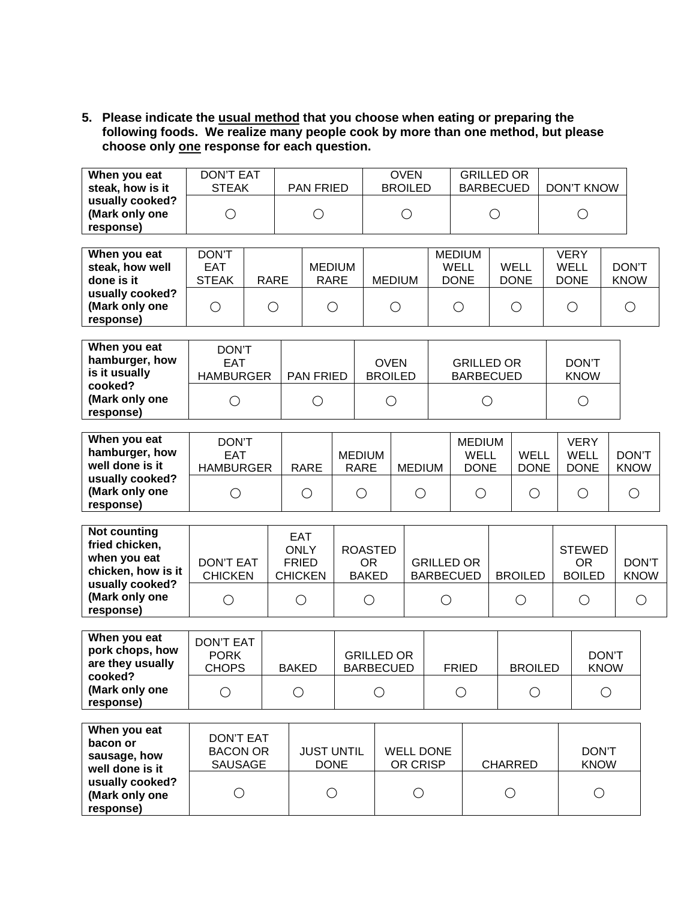**5. Please indicate the usual method that you choose when eating or preparing the following foods. We realize many people cook by more than one method, but please choose only one response for each question.**

| When you eat<br>steak, how is it               | DON'T EAT<br><b>STEAK</b> | PAN FRIED | <b>OVEN</b><br><b>BROILED</b> | <b>GRILLED OR</b><br><b>BARBECUED</b> | DON'T KNOW |
|------------------------------------------------|---------------------------|-----------|-------------------------------|---------------------------------------|------------|
| usually cooked?<br>(Mark only one<br>response) |                           |           |                               |                                       |            |

| When you eat<br>steak, how well<br>done is it  | DON'T<br><b>EAT</b><br><b>STEAK</b> | RARE | <b>MEDIUM</b><br>RARE | <b>MEDIUM</b> | MEDIUM<br>WELL<br><b>DONE</b> | WELL<br><b>DONE</b> | VERY<br>WELL<br><b>DONE</b> | DON'T<br><b>KNOW</b> |
|------------------------------------------------|-------------------------------------|------|-----------------------|---------------|-------------------------------|---------------------|-----------------------------|----------------------|
| usually cooked?<br>(Mark only one<br>response) |                                     |      |                       |               |                               |                     |                             |                      |

| When you eat<br>hamburger, how<br>is it usually | DON'T<br>EAT<br><b>HAMBURGER</b> | <b>PAN FRIED</b> | <b>OVEN</b><br><b>BROILED</b> | <b>GRILLED OR</b><br><b>BARBECUED</b> | <b>DON'T</b><br><b>KNOW</b> |
|-------------------------------------------------|----------------------------------|------------------|-------------------------------|---------------------------------------|-----------------------------|
| cooked?<br>(Mark only one<br>response)          |                                  |                  |                               |                                       |                             |

| When you eat<br>hamburger, how<br>well done is it | DON'T<br><b>EAT</b><br><b>HAMBURGER</b> | RARE | <b>MEDIUM</b><br><b>RARE</b> | MEDIUM | <b>MEDIUM</b><br>WELL<br><b>DONE</b> | WELL<br><b>DONE</b> | VERY<br>WELL<br><b>DONE</b> | DON'T<br><b>KNOW</b> |
|---------------------------------------------------|-----------------------------------------|------|------------------------------|--------|--------------------------------------|---------------------|-----------------------------|----------------------|
| usually cooked?<br>(Mark only one<br>response)    |                                         |      |                              |        |                                      |                     |                             |                      |

| Not counting<br>fried chicken,<br>when you eat<br>chicken, how is it | DON'T EAT<br><b>CHICKEN</b> | EAT<br><b>ONLY</b><br><b>FRIED</b><br><b>CHICKEN</b> | ROASTED<br>OR<br><b>BAKED</b> | <b>GRILLED OR</b><br><b>BARBECUED</b> | <b>BROILED</b> | <b>STEWED</b><br>OR<br><b>BOILED</b> | DON'T<br><b>KNOW</b> |
|----------------------------------------------------------------------|-----------------------------|------------------------------------------------------|-------------------------------|---------------------------------------|----------------|--------------------------------------|----------------------|
| usually cooked?<br>(Mark only one<br>response)                       |                             |                                                      |                               |                                       |                |                                      |                      |

| When you eat<br>pork chops, how<br>are they usually | <b>DON'T EAT</b><br><b>PORK</b><br><b>CHOPS</b> | <b>BAKED</b> | <b>GRILLED OR</b><br><b>BARBECUED</b> | <b>FRIED</b> | <b>BROILED</b> | DON'T<br><b>KNOW</b> |
|-----------------------------------------------------|-------------------------------------------------|--------------|---------------------------------------|--------------|----------------|----------------------|
| cooked?<br>(Mark only one<br>response)              |                                                 |              |                                       |              |                |                      |

| When you eat<br>bacon or<br>sausage, how<br>well done is it | DON'T EAT<br><b>BACON OR</b><br><b>SAUSAGE</b> | <b>JUST UNTIL</b><br><b>DONE</b> | <b>WELL DONE</b><br>OR CRISP | <b>CHARRED</b> | DON'T<br><b>KNOW</b> |
|-------------------------------------------------------------|------------------------------------------------|----------------------------------|------------------------------|----------------|----------------------|
| usually cooked?<br>(Mark only one<br>response)              |                                                |                                  |                              |                |                      |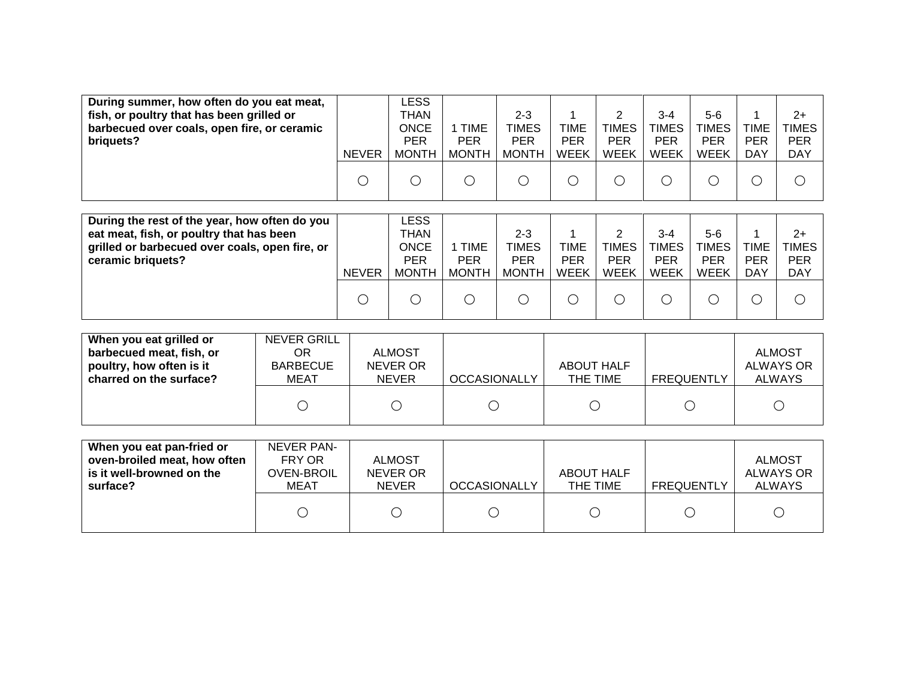| During summer, how often do you eat meat,<br>fish, or poultry that has been grilled or<br>barbecued over coals, open fire, or ceramic<br>briquets?               | <b>NEVER</b> | LESS<br>THAN<br><b>ONCE</b><br><b>PER</b><br><b>MONTH</b> | 1 TIME<br><b>PER</b><br><b>MONTH</b> | $2 - 3$<br><b>TIMES</b><br><b>PER</b><br><b>MONTH</b> | TIME<br>PER<br><b>WEEK</b> | 2<br><b>TIMES</b><br><b>PER</b><br><b>WEEK</b> | $3 - 4$<br><b>TIMES</b><br><b>PER</b><br><b>WEEK</b> | $5-6$<br>TIMES<br>PER<br><b>WEEK</b> | <b>TIME</b><br><b>PER</b><br><b>DAY</b> | 2+<br><b>TIMES</b><br><b>PER</b><br><b>DAY</b>   |
|------------------------------------------------------------------------------------------------------------------------------------------------------------------|--------------|-----------------------------------------------------------|--------------------------------------|-------------------------------------------------------|----------------------------|------------------------------------------------|------------------------------------------------------|--------------------------------------|-----------------------------------------|--------------------------------------------------|
|                                                                                                                                                                  | O            |                                                           |                                      | С                                                     | O                          | $\bigcirc$                                     |                                                      | C                                    | C                                       |                                                  |
|                                                                                                                                                                  |              |                                                           |                                      |                                                       |                            |                                                |                                                      |                                      |                                         |                                                  |
| During the rest of the year, how often do you<br>eat meat, fish, or poultry that has been<br>grilled or barbecued over coals, open fire, or<br>ceramic briquets? | $\mathbf{F}$ | LESS<br>THAN<br><b>ONCE</b><br><b>PER</b>                 | 1 TIME<br><b>PER</b><br>$\sqrt{2}$   | $2 - 3$<br><b>TIMES</b><br><b>PER</b><br>$\sqrt{2}$   | TIME<br>PER<br>,,,,,,,     | 2<br><b>TIMES</b><br><b>PER</b><br>,,,,,,,     | $3 - 4$<br><b>TIMES</b><br><b>PER</b>                | $5-6$<br>TIMES<br>PER<br>$\lambda$   | <b>TIME</b><br><b>PER</b><br><b>DAV</b> | $2+$<br><b>TIMES</b><br><b>PER</b><br>. <i>.</i> |

| <b>NEVER</b> | <b>MONTH</b> | <b>MONTH</b> | <b>MONTH</b> | <b>WEEK</b> | <b>WEEK</b> | WEEK | <b>WEEK</b> | <b>DAY</b> | <b>DAY</b> |
|--------------|--------------|--------------|--------------|-------------|-------------|------|-------------|------------|------------|
| ∽            |              | ◡            |              |             | ◡           |      |             |            |            |

| When you eat grilled or<br>barbecued meat, fish, or<br>poultry, how often is it<br>charred on the surface? | <b>NEVER GRILL</b><br>OR<br><b>BARBECUE</b><br>MEAT | <b>ALMOST</b><br>NEVER OR<br><b>NEVER</b> | <b>OCCASIONALLY</b> | <b>ABOUT HALF</b><br>THE TIME | FREQUENTLY | <b>ALMOST</b><br>ALWAYS OR<br><b>ALWAYS</b> |
|------------------------------------------------------------------------------------------------------------|-----------------------------------------------------|-------------------------------------------|---------------------|-------------------------------|------------|---------------------------------------------|
|                                                                                                            |                                                     |                                           |                     |                               |            |                                             |

| When you eat pan-fried or<br>oven-broiled meat, how often<br>is it well-browned on the<br>surface? | NEVER PAN-<br>FRY OR<br><b>OVEN-BROIL</b><br>MEAT | <b>ALMOST</b><br>NEVER OR<br><b>NEVER</b> | <b>OCCASIONALLY</b> | <b>ABOUT HALF</b><br>THE TIME | <b>FREQUENTLY</b> | <b>ALMOST</b><br>ALWAYS OR<br><b>ALWAYS</b> |
|----------------------------------------------------------------------------------------------------|---------------------------------------------------|-------------------------------------------|---------------------|-------------------------------|-------------------|---------------------------------------------|
|                                                                                                    |                                                   |                                           |                     |                               |                   |                                             |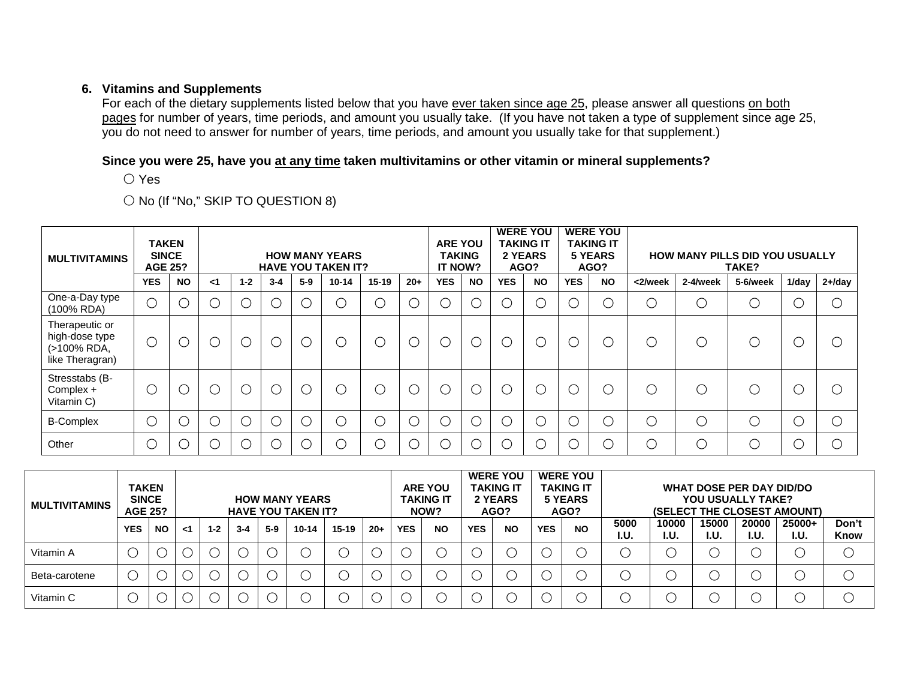### **6. Vitamins and Supplements**

For each of the dietary supplements listed below that you have ever taken since age 25, please answer all questions on both pages for number of years, time periods, and amount you usually take. (If you have not taken a type of supplement since age 25, you do not need to answer for number of years, time periods, and amount you usually take for that supplement.)

#### **Since you were 25, have you at any time taken multivitamins or other vitamin or mineral supplements?**

〇 Yes

# 〇 No (If "No," SKIP TO QUESTION 8)

| <b>MULTIVITAMINS</b>                                               | <b>TAKEN</b><br><b>SINCE</b><br><b>AGE 25?</b> |           |          |         |         |            | <b>HOW MANY YEARS</b><br><b>HAVE YOU TAKEN IT?</b> |           |            | <b>ARE YOU</b><br><b>TAKING</b><br>IT NOW? |               |            | <b>WERE YOU</b><br><b>TAKING IT</b><br>2 YEARS<br>AGO? |            | <b>WERE YOU</b><br><b>TAKING IT</b><br><b>5 YEARS</b><br>AGO? | <b>HOW MANY PILLS DID YOU USUALLY</b> |            |          |       |            |
|--------------------------------------------------------------------|------------------------------------------------|-----------|----------|---------|---------|------------|----------------------------------------------------|-----------|------------|--------------------------------------------|---------------|------------|--------------------------------------------------------|------------|---------------------------------------------------------------|---------------------------------------|------------|----------|-------|------------|
|                                                                    | <b>YES</b>                                     | <b>NO</b> | $\leq$ 1 | $1 - 2$ | $3 - 4$ | $5-9$      | $10 - 14$                                          | $15 - 19$ | $20+$      | <b>YES</b>                                 | <b>NO</b>     | <b>YES</b> | <b>NO</b>                                              | <b>YES</b> | <b>NO</b>                                                     | <2/week                               | 2-4/week   | 5-6/week | 1/day | $2 + /day$ |
| One-a-Day type<br>(100% RDA)                                       | $\bigcirc$                                     |           |          |         |         | $\bigcirc$ | Ξ                                                  | O         | $\bigcirc$ |                                            |               |            |                                                        |            | О                                                             | О                                     | О          |          |       |            |
| Therapeutic or<br>high-dose type<br>(>100% RDA,<br>like Theragran) | $\bigcirc$                                     | C         | U        | $\cup$  |         | О          | U                                                  | ⌒         | $\bigcirc$ | С                                          | $\rightarrow$ | $\subset$  |                                                        |            | $\cup$                                                        | O                                     | О          |          |       |            |
| Stresstabs (B-<br>Complex +<br>Vitamin C)                          | $\bigcirc$                                     | C         | ز<br>ر   |         |         | $\bigcirc$ | $\cdot$ .                                          | ◠         | $\bigcirc$ | С                                          |               | $\subset$  |                                                        |            | О                                                             | $\bigcirc$                            | ∩          |          |       |            |
| <b>B-Complex</b>                                                   | $\bigcirc$                                     |           | Ċ,       |         |         | $\bigcirc$ | υ                                                  | ◠         | $\bigcirc$ | $\cdot$ .                                  | ⌒             | $\subset$  |                                                        |            | O                                                             | $\bigcirc$                            | $\bigcirc$ |          |       |            |
| Other                                                              | C                                              |           | e.       |         |         | $\bigcirc$ |                                                    |           | $\bigcirc$ | n.                                         |               |            |                                                        |            | $\bigcirc$                                                    | $\bigcirc$                            | $\bigcap$  |          |       |            |

| <b>TAKEN</b><br><b>SINCE</b><br><b>HOW MANY YEARS</b><br><b>MULTIVITAMINS</b><br><b>AGE 25?</b><br><b>HAVE YOU TAKEN IT?</b> |            |           |    |         |         |       | <b>ARE YOU</b><br><b>TAKING IT</b><br>NOW? |           | <b>WERE YOU</b><br>TAKING IT<br>2 YEARS<br>AGO? |            | <b>WERE YOU</b><br><b>TAKING IT</b><br>5 YEARS<br>AGO? |            | WHAT DOSE PER DAY DID/DO<br>YOU USUALLY TAKE?<br>(SELECT THE CLOSEST AMOUNT) |            |           |              |                      |               |               |                |               |
|------------------------------------------------------------------------------------------------------------------------------|------------|-----------|----|---------|---------|-------|--------------------------------------------|-----------|-------------------------------------------------|------------|--------------------------------------------------------|------------|------------------------------------------------------------------------------|------------|-----------|--------------|----------------------|---------------|---------------|----------------|---------------|
|                                                                                                                              | <b>YES</b> | <b>NO</b> | ا> | $1 - 2$ | $3 - 4$ | $5-9$ | 10-14                                      | $15 - 19$ | $20+$                                           | <b>YES</b> | <b>NO</b>                                              | <b>YES</b> | <b>NO</b>                                                                    | <b>YES</b> | <b>NO</b> | 5000<br>I.U. | 10000<br><b>I.U.</b> | 15000<br>I.U. | 20000<br>I.U. | 25000+<br>I.U. | Don't<br>Know |
| Vitamin A                                                                                                                    |            |           |    |         |         |       |                                            |           |                                                 |            |                                                        |            |                                                                              |            |           |              |                      |               |               |                |               |
| Beta-carotene                                                                                                                |            |           |    |         |         |       |                                            |           |                                                 |            |                                                        |            |                                                                              |            |           |              |                      |               |               |                |               |
| Vitamin C                                                                                                                    |            |           |    |         |         |       |                                            |           |                                                 |            |                                                        |            |                                                                              |            |           |              |                      |               |               |                |               |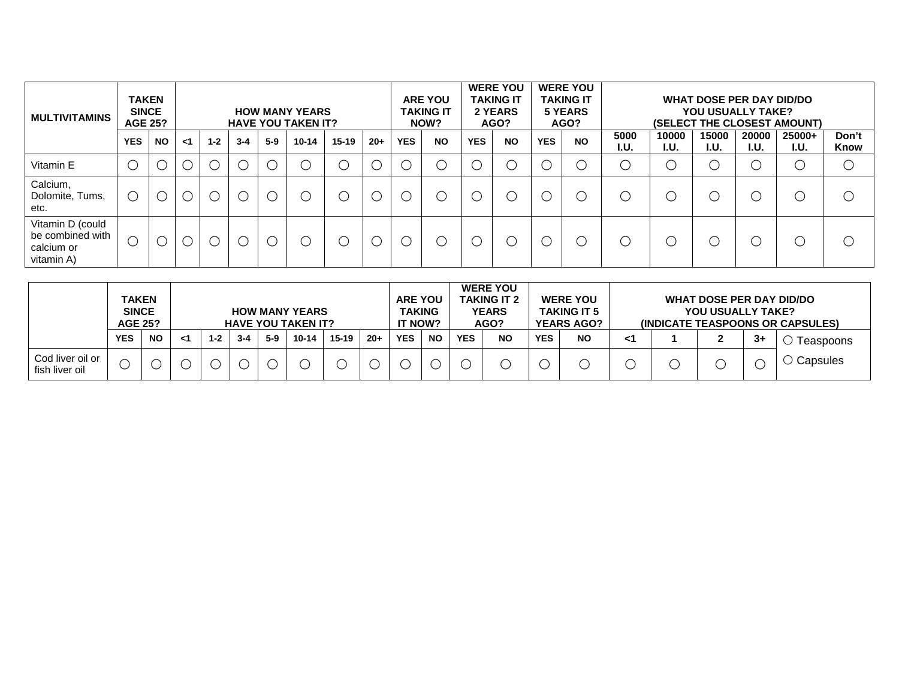| <b>TAKEN</b><br><b>SINCE</b><br><b>HOW MANY YEARS</b><br><b>MULTIVITAMINS</b><br><b>AGE 25?</b><br><b>HAVE YOU TAKEN IT?</b> |                                               |           |          |         |         |       |           | <b>ARE YOU</b><br><b>TAKING IT</b><br>NOW? | <b>WERE YOU</b><br><b>TAKING IT</b><br>2 YEARS<br>AGO? |            | <b>WERE YOU</b><br><b>TAKING IT</b><br>5 YEARS<br>AGO? |               | WHAT DOSE PER DAY DID/DO<br><b>YOU USUALLY TAKE?</b><br>(SELECT THE CLOSEST AMOUNT) |            |           |              |               |               |               |                |               |
|------------------------------------------------------------------------------------------------------------------------------|-----------------------------------------------|-----------|----------|---------|---------|-------|-----------|--------------------------------------------|--------------------------------------------------------|------------|--------------------------------------------------------|---------------|-------------------------------------------------------------------------------------|------------|-----------|--------------|---------------|---------------|---------------|----------------|---------------|
|                                                                                                                              | <b>YES</b>                                    | <b>NO</b> | $\leq$ 1 | $1 - 2$ | $3 - 4$ | $5-9$ | $10 - 14$ | $15 - 19$                                  | $20+$                                                  | <b>YES</b> | <b>NO</b>                                              | <b>YES</b>    | <b>NO</b>                                                                           | <b>YES</b> | <b>NO</b> | 5000<br>I.U. | 10000<br>I.U. | 15000<br>I.U. | 20000<br>I.U. | 25000+<br>I.U. | Don't<br>Know |
| Vitamin E                                                                                                                    |                                               |           |          |         |         |       | (         | U                                          |                                                        |            | (                                                      | <sup>(</sup>  |                                                                                     |            |           |              |               |               |               | С              |               |
| Calcium,<br>Dolomite, Tums,<br>etc.                                                                                          | $\left( \begin{array}{c} \end{array} \right)$ |           |          |         |         |       |           | $\cup$                                     |                                                        |            |                                                        | <sup>(</sup>  |                                                                                     |            |           |              |               |               |               | С              |               |
| Vitamin D (could<br>be combined with<br>calcium or<br>vitamin A)                                                             |                                               |           |          |         |         |       | C         | $\mathcal{L}$                              |                                                        |            | (                                                      | $\mathcal{L}$ |                                                                                     |            |           |              |               |               |               | $\mathcal C$   |               |

|                                    | <b>TAKEN</b><br><b>SINCE</b><br><b>HOW MANY YEARS</b><br><b>AGE 25?</b><br><b>HAVE YOU TAKEN IT?</b> |           |    |         |         |       | <b>ARE YOU</b><br><b>TAKING</b><br><b>IT NOW?</b> |         | <b>WERE YOU</b><br><b>TAKING IT 2</b><br><b>YEARS</b><br>AGO? |            | <b>WERE YOU</b><br><b>TAKING IT 5</b><br><b>YEARS AGO?</b> |            | WHAT DOSE PER DAY DID/DO<br>YOU USUALLY TAKE?<br>(INDICATE TEASPOONS OR CAPSULES) |            |           |    |  |  |     |           |
|------------------------------------|------------------------------------------------------------------------------------------------------|-----------|----|---------|---------|-------|---------------------------------------------------|---------|---------------------------------------------------------------|------------|------------------------------------------------------------|------------|-----------------------------------------------------------------------------------|------------|-----------|----|--|--|-----|-----------|
|                                    | <b>YES</b>                                                                                           | <b>NO</b> | -1 | $1 - 2$ | $3 - 4$ | $5-9$ | $10 - 14$                                         | $15-19$ | $20 +$                                                        | <b>YES</b> | <b>NO</b>                                                  | <b>YES</b> | <b>NO</b>                                                                         | <b>YES</b> | <b>NO</b> | <1 |  |  | -3+ | Teaspoons |
| Cod liver oil or<br>fish liver oil |                                                                                                      |           |    |         |         |       |                                                   |         |                                                               |            |                                                            |            |                                                                                   |            |           |    |  |  |     | Capsules  |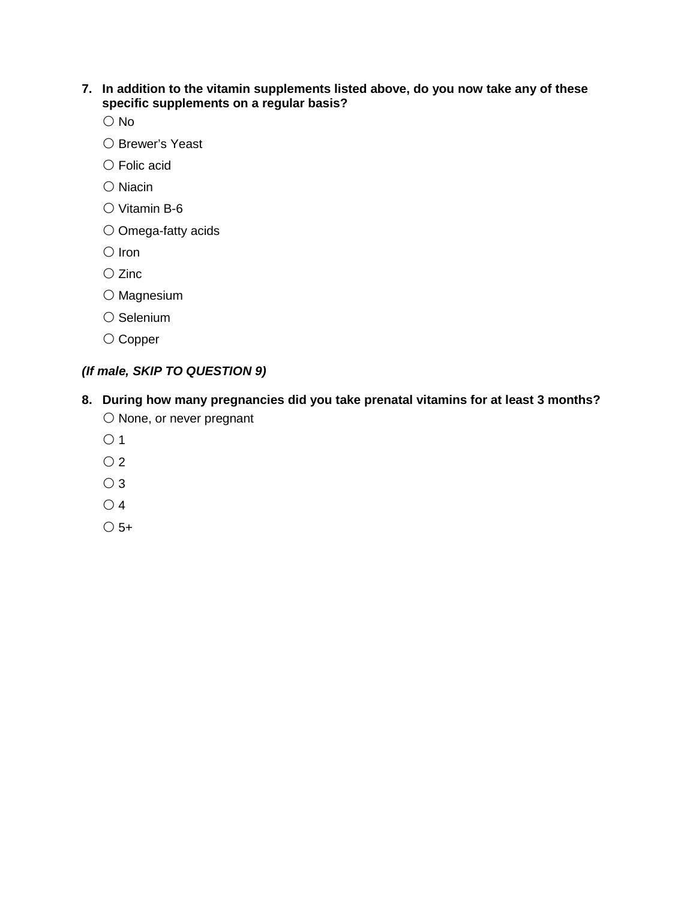### **7. In addition to the vitamin supplements listed above, do you now take any of these specific supplements on a regular basis?**

No

- Brewer's Yeast
- Folic acid
- Niacin
- Vitamin B-6
- Omega-fatty acids
- Iron
- Zinc
- Magnesium
- Selenium
- Copper

# *(If male, SKIP TO QUESTION 9)*

- **8. During how many pregnancies did you take prenatal vitamins for at least 3 months?** None, or never pregnant
	- $\bigcirc$  1
	- $\overline{O}2$
	- 3
	- 4
	- $\bigcirc$  5+